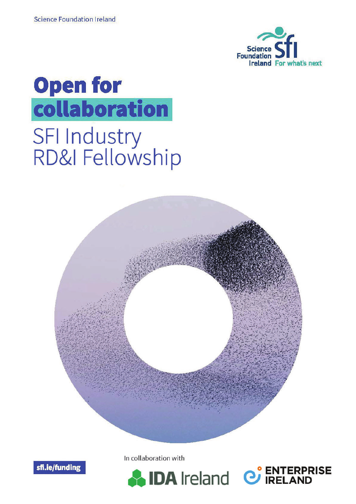

C ENTERPRISE







In collaboration with

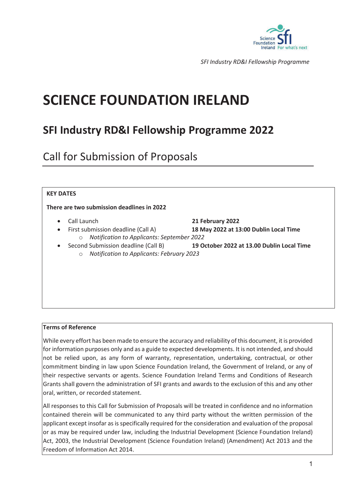

# **SCIENCE FOUNDATION IRELAND**

# **SFI Industry RD&I Fellowship Programme 2022**

Call for Submission of Proposals

#### **KEY DATES**

#### **There are two submission deadlines in 2022W**

- 
- 
- o *Notification to Applicants: September 2022*
	- o *Notification to Applicants: February 2023*

#### **Terms of Reference**

While every effort has been made to ensure the accuracy and reliability of this document, it is provided for information purposes only and as a guide to expected developments. It is not intended, and should not be relied upon, as any form of warranty, representation, undertaking, contractual, or other commitment binding in law upon Science Foundation Ireland, the Government of Ireland, or any of their respective servants or agents. Science Foundation Ireland Terms and Conditions of Research Grants shall govern the administration of SFI grants and awards to the exclusion of this and any other oral, written, or recorded statement.

All responses to this Call for Submission of Proposals will be treated in confidence and no information contained therein will be communicated to any third party without the written permission of the applicant except insofar as is specifically required for the consideration and evaluation of the proposal or as may be required under law, including the Industrial Development (Science Foundation Ireland) Act, 2003, the Industrial Development (Science Foundation Ireland) (Amendment) Act 2013 and the Freedom of Information Act 2014.

- x Call Launch **21 February 2022**
- x First submission deadline (Call A) **18 May 2022 at 13:00 Dublin Local Time** 
	- x Second Submission deadline (Call B) **19 October 2022 at 13.00 Dublin Local Time**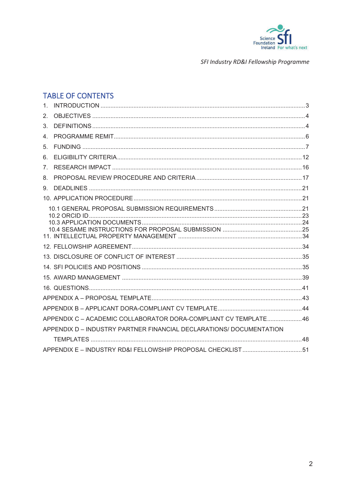

# **TABLE OF CONTENTS**

| APPENDIX C - ACADEMIC COLLABORATOR DORA-COMPLIANT CV TEMPLATE46     |  |
|---------------------------------------------------------------------|--|
| APPENDIX D - INDUSTRY PARTNER FINANCIAL DECLARATIONS/ DOCUMENTATION |  |
|                                                                     |  |
|                                                                     |  |
|                                                                     |  |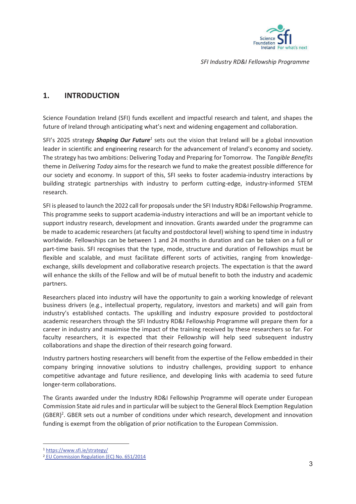

# **1. INTRODUCTION**

Science Foundation Ireland (SFI) funds excellent and impactful research and talent, and shapes the future of Ireland through anticipating what's next and widening engagement and collaboration.

SFI's 2025 strategy *Shaping Our Future<sup>1</sup>* sets out the vision that Ireland will be a global innovation leader in scientific and engineering research for the advancement of Ireland's economy and society. The strategy has two ambitions: Delivering Today and Preparing for Tomorrow. The *Tangible Benefits*  theme in *Delivering Today* aims for the research we fund to make the greatest possible difference for our society and economy. In support of this, SFI seeks to foster academia-industry interactions by building strategic partnerships with industry to perform cutting-edge, industry-informed STEM research.

SFI is pleased to launch the 2022 call for proposals under the SFI Industry RD&I Fellowship Programme. This programme seeks to support academia-industry interactions and will be an important vehicle to support industry research, development and innovation. Grants awarded under the programme can be made to academic researchers (at faculty and postdoctoral level) wishing to spend time in industry worldwide. Fellowships can be between 1 and 24 months in duration and can be taken on a full or part-time basis. SFI recognises that the type, mode, structure and duration of Fellowships must be flexible and scalable, and must facilitate different sorts of activities, ranging from knowledgeexchange, skills development and collaborative research projects. The expectation is that the award will enhance the skills of the Fellow and will be of mutual benefit to both the industry and academic partners.

Researchers placed into industry will have the opportunity to gain a working knowledge of relevant business drivers (e.g., intellectual property, regulatory, investors and markets) and will gain from industry's established contacts. The upskilling and industry exposure provided to postdoctoral academic researchers through the SFI Industry RD&I Fellowship Programme will prepare them for a career in industry and maximise the impact of the training received by these researchers so far. For faculty researchers, it is expected that their Fellowship will help seed subsequent industry collaborations and shape the direction of their research going forward.

Industry partners hosting researchers will benefit from the expertise of the Fellow embedded in their company bringing innovative solutions to industry challenges, providing support to enhance competitive advantage and future resilience, and developing links with academia to seed future longer-term collaborations.

The Grants awarded under the Industry RD&I Fellowship Programme will operate under European Commission State aid rules and in particular will be subject to the General Block Exemption Regulation (GBER)<sup>2</sup>. GBER sets out a number of conditions under which research, development and innovation funding is exempt from the obligation of prior notification to the European Commission.

<sup>1</sup> https://www.sfi.ie/strategy/

<sup>2</sup> EU Commission Regulation (EC) No. 651/2014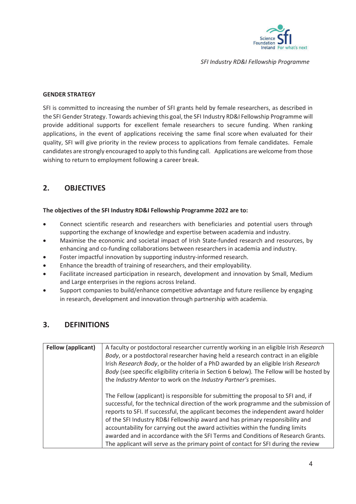

#### **GENDER STRATEGY**

SFI is committed to increasing the number of SFI grants held by female researchers, as described in the SFI Gender Strategy. Towards achieving this goal, the SFI Industry RD&I Fellowship Programme will provide additional supports for excellent female researchers to secure funding. When ranking applications, in the event of applications receiving the same final score when evaluated for their quality, SFI will give priority in the review process to applications from female candidates. Female candidates are strongly encouraged to apply to this funding call. Applications are welcome from those wishing to return to employment following a career break.

# **2. OBJECTIVES**

#### **The objectives of the SFI Industry RD&I Fellowship Programme 2022 are to:**

- Connect scientific research and researchers with beneficiaries and potential users through supporting the exchange of knowledge and expertise between academia and industry.
- Maximise the economic and societal impact of Irish State-funded research and resources, by enhancing and co-funding collaborations between researchers in academia and industry.
- Foster impactful innovation by supporting industry-informed research.
- Enhance the breadth of training of researchers, and their employability.
- Facilitate increased participation in research, development and innovation by Small, Medium and Large enterprises in the regions across Ireland.
- Support companies to build/enhance competitive advantage and future resilience by engaging in research, development and innovation through partnership with academia.

# **3. DEFINITIONS**

| <b>Fellow (applicant)</b> | A faculty or postdoctoral researcher currently working in an eligible Irish Research<br>Body, or a postdoctoral researcher having held a research contract in an eligible<br>Irish Research Body, or the holder of a PhD awarded by an eligible Irish Research<br>Body (see specific eligibility criteria in Section 6 below). The Fellow will be hosted by<br>the Industry Mentor to work on the Industry Partner's premises.                                                                                                                                                                          |
|---------------------------|---------------------------------------------------------------------------------------------------------------------------------------------------------------------------------------------------------------------------------------------------------------------------------------------------------------------------------------------------------------------------------------------------------------------------------------------------------------------------------------------------------------------------------------------------------------------------------------------------------|
|                           | The Fellow (applicant) is responsible for submitting the proposal to SFI and, if<br>successful, for the technical direction of the work programme and the submission of<br>reports to SFI. If successful, the applicant becomes the independent award holder<br>of the SFI Industry RD&I Fellowship award and has primary responsibility and<br>accountability for carrying out the award activities within the funding limits<br>awarded and in accordance with the SFI Terms and Conditions of Research Grants.<br>The applicant will serve as the primary point of contact for SFI during the review |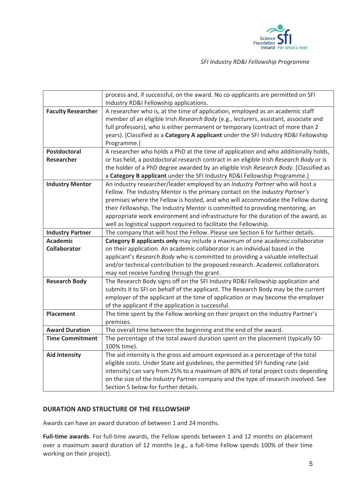

|                                        | process and, if successful, on the award. No co-applicants are permitted on SFI<br>Industry RD&I Fellowship applications.                                                                                                                                                                                                                                                                                                                                                                   |
|----------------------------------------|---------------------------------------------------------------------------------------------------------------------------------------------------------------------------------------------------------------------------------------------------------------------------------------------------------------------------------------------------------------------------------------------------------------------------------------------------------------------------------------------|
| <b>Faculty Researcher</b>              | A researcher who is, at the time of application, employed as an academic staff<br>member of an eligible Irish Research Body (e.g., lecturers, assistant, associate and<br>full professors), who is either permanent or temporary (contract of more than 2<br>years). [Classified as a Category A applicant under the SFI Industry RD&I Fellowship<br>Programme.]                                                                                                                            |
| Postdoctoral<br><b>Researcher</b>      | A researcher who holds a PhD at the time of application and who additionally holds,<br>or has held, a postdoctoral research contract in an eligible Irish Research Body or is                                                                                                                                                                                                                                                                                                               |
|                                        | the holder of a PhD degree awarded by an eligible Irish Research Body. [Classified as<br>a Category B applicant under the SFI Industry RD&I Fellowship Programme.]                                                                                                                                                                                                                                                                                                                          |
| <b>Industry Mentor</b>                 | An industry researcher/leader employed by an Industry Partner who will host a<br>Fellow. The Industry Mentor is the primary contact on the Industry Partner's<br>premises where the Fellow is hosted, and who will accommodate the Fellow during<br>their Fellowship. The Industry Mentor is committed to providing mentoring, an<br>appropriate work environment and infrastructure for the duration of the award, as<br>well as logistical support required to facilitate the Fellowship. |
| <b>Industry Partner</b>                | The company that will host the Fellow. Please see Section 6 for further details.                                                                                                                                                                                                                                                                                                                                                                                                            |
| <b>Academic</b><br><b>Collaborator</b> | Category B applicants only may include a maximum of one academic collaborator<br>on their application. An academic collaborator is an individual based in the<br>applicant's Research Body who is committed to providing a valuable intellectual<br>and/or technical contribution to the proposed research. Academic collaborators<br>may not receive funding through the grant.                                                                                                            |
| <b>Research Body</b>                   | The Research Body signs off on the SFI Industry RD&I Fellowship application and<br>submits it to SFI on behalf of the applicant. The Research Body may be the current<br>employer of the applicant at the time of application or may become the employer<br>of the applicant if the application is successful.                                                                                                                                                                              |
| <b>Placement</b>                       | The time spent by the Fellow working on their project on the Industry Partner's<br>premises.                                                                                                                                                                                                                                                                                                                                                                                                |
| <b>Award Duration</b>                  | The overall time between the beginning and the end of the award.                                                                                                                                                                                                                                                                                                                                                                                                                            |
| <b>Time Commitment</b>                 | The percentage of the total award duration spent on the placement (typically 50-<br>100% time).                                                                                                                                                                                                                                                                                                                                                                                             |
| <b>Aid Intensity</b>                   | The aid intensity is the gross aid amount expressed as a percentage of the total<br>eligible costs. Under State aid guidelines, the permitted SFI funding rate (aid<br>intensity) can vary from 25% to a maximum of 80% of total project costs depending<br>on the size of the Industry Partner company and the type of research involved. See<br>Section 5 below for further details.                                                                                                      |

#### **DURATION AND STRUCTURE OF THE FELLOWSHIP**

Awards can have an award duration of between 1 and 24 months.

**Full-time awards**. For full-time awards, the Fellow spends between 1 and 12 months on placement over a maximum award duration of 12 months (e.g., a full-time Fellow spends 100% of their time working on their project).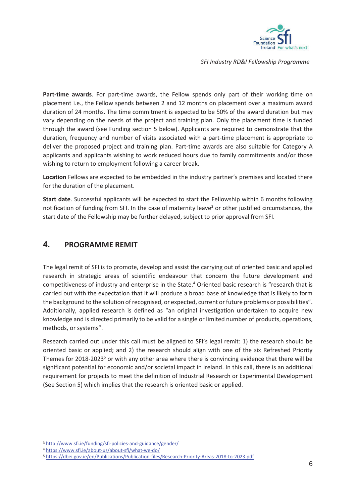

**Part-time awards**. For part-time awards, the Fellow spends only part of their working time on placement i.e., the Fellow spends between 2 and 12 months on placement over a maximum award duration of 24 months. The time commitment is expected to be 50% of the award duration but may vary depending on the needs of the project and training plan. Only the placement time is funded through the award (see Funding section 5 below). Applicants are required to demonstrate that the duration, frequency and number of visits associated with a part-time placement is appropriate to deliver the proposed project and training plan. Part-time awards are also suitable for Category A applicants and applicants wishing to work reduced hours due to family commitments and/or those wishing to return to employment following a career break.

**Location** Fellows are expected to be embedded in the industry partner's premises and located there for the duration of the placement.

**Start date**. Successful applicants will be expected to start the Fellowship within 6 months following notification of funding from SFI. In the case of maternity leave<sup>3</sup> or other justified circumstances, the start date of the Fellowship may be further delayed, subject to prior approval from SFI.

# **4. PROGRAMME REMIT**

The legal remit of SFI is to promote, develop and assist the carrying out of oriented basic and applied research in strategic areas of scientific endeavour that concern the future development and competitiveness of industry and enterprise in the State.<sup>4</sup> Oriented basic research is "research that is carried out with the expectation that it will produce a broad base of knowledge that is likely to form the background to the solution of recognised, or expected, current or future problems or possibilities". Additionally, applied research is defined as "an original investigation undertaken to acquire new knowledge and is directed primarily to be valid for a single or limited number of products, operations, methods, or systems".

Research carried out under this call must be aligned to SFI's legal remit: 1) the research should be oriented basic or applied; and 2) the research should align with one of the six Refreshed Priority Themes for 2018-2023<sup>5</sup> or with any other area where there is convincing evidence that there will be significant potential for economic and/or societal impact in Ireland. In this call, there is an additional requirement for projects to meet the definition of Industrial Research or Experimental Development (See Section 5) which implies that the research is oriented basic or applied.

<sup>3</sup> http://www.sfi.ie/funding/sfi-policies-and-guidance/gender/

<sup>4</sup> https://www.sfi.ie/about-us/about-sfi/what-we-do/

<sup>5</sup> https://dbei.gov.ie/en/Publications/Publication-files/Research-Priority-Areas-2018-to-2023.pdf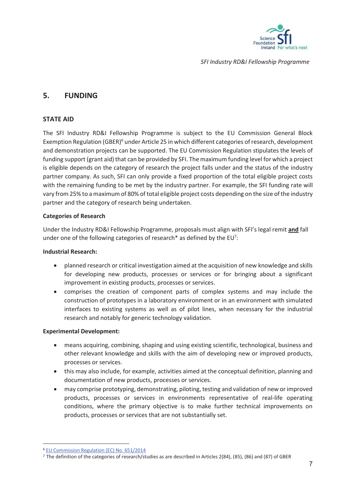

# **5. FUNDING**

#### **STATE AID**

The SFI Industry RD&I Fellowship Programme is subject to the EU Commission General Block Exemption Regulation (GBER)<sup>6</sup> under Article 25 in which different categories of research, development and demonstration projects can be supported. The EU Commission Regulation stipulates the levels of funding support (grant aid) that can be provided by SFI. The maximum funding level for which a project is eligible depends on the category of research the project falls under and the status of the industry partner company. As such, SFI can only provide a fixed proportion of the total eligible project costs with the remaining funding to be met by the industry partner. For example, the SFI funding rate will vary from 25% to a maximum of 80% of total eligible project costs depending on the size of the industry partner and the category of research being undertaken.

#### **Categories of Research**

Under the Industry RD&I Fellowship Programme, proposals must align with SFI's legal remit **and** fall under one of the following categories of research\* as defined by the EU<sup>7</sup>:

#### **Industrial Research:**

- planned research or critical investigation aimed at the acquisition of new knowledge and skills for developing new products, processes or services or for bringing about a significant improvement in existing products, processes or services.
- comprises the creation of component parts of complex systems and may include the construction of prototypes in a laboratory environment or in an environment with simulated interfaces to existing systems as well as of pilot lines, when necessary for the industrial research and notably for generic technology validation.

#### **Experimental Development:**

- means acquiring, combining, shaping and using existing scientific, technological, business and other relevant knowledge and skills with the aim of developing new or improved products, processes or services.
- this may also include, for example, activities aimed at the conceptual definition, planning and documentation of new products, processes or services.
- may comprise prototyping, demonstrating, piloting, testing and validation of new or improved products, processes or services in environments representative of real-life operating conditions, where the primary objective is to make further technical improvements on products, processes or services that are not substantially set.

<sup>6</sup> EU Commission Regulation (EC) No. 651/2014

<sup>7</sup> The definition of the categories of research/studies as are described in Articles 2(84), (85), (86) and (87) of GBER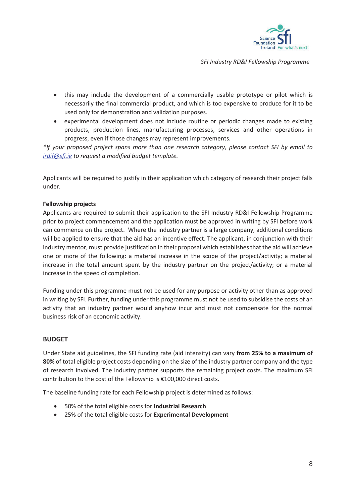

- this may include the development of a commercially usable prototype or pilot which is necessarily the final commercial product, and which is too expensive to produce for it to be used only for demonstration and validation purposes.
- experimental development does not include routine or periodic changes made to existing products, production lines, manufacturing processes, services and other operations in progress, even if those changes may represent improvements.

*\*If your proposed project spans more than one research category, please contact SFI by email to irdif@sfi.ie to request a modified budget template.* 

Applicants will be required to justify in their application which category of research their project falls under.

#### **Fellowship projects**

Applicants are required to submit their application to the SFI Industry RD&I Fellowship Programme prior to project commencement and the application must be approved in writing by SFI before work can commence on the project. Where the industry partner is a large company, additional conditions will be applied to ensure that the aid has an incentive effect. The applicant, in conjunction with their industry mentor, must provide justification in their proposal which establishes that the aid will achieve one or more of the following: a material increase in the scope of the project/activity; a material increase in the total amount spent by the industry partner on the project/activity; or a material increase in the speed of completion.

Funding under this programme must not be used for any purpose or activity other than as approved in writing by SFI. Further, funding under this programme must not be used to subsidise the costs of an activity that an industry partner would anyhow incur and must not compensate for the normal business risk of an economic activity.

#### **BUDGET**

Under State aid guidelines, the SFI funding rate (aid intensity) can vary **from 25% to a maximum of 80%** of total eligible project costs depending on the size of the industry partner company and the type of research involved. The industry partner supports the remaining project costs. The maximum SFI contribution to the cost of the Fellowship is €100,000 direct costs.

The baseline funding rate for each Fellowship project is determined as follows:

- x 50% of the total eligible costs for **Industrial Research**
- x 25% of the total eligible costs for **Experimental Development**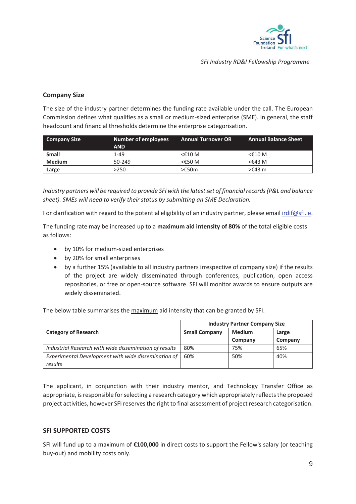

### **Company Size**

The size of the industry partner determines the funding rate available under the call. The European Commission defines what qualifies as a small or medium-sized enterprise (SME). In general, the staff headcount and financial thresholds determine the enterprise categorisation.

| Company Size  | Number of employees<br><b>AND</b> | <b>Annual Turnover OR</b> | <b>Annual Balance Sheet</b> |
|---------------|-----------------------------------|---------------------------|-----------------------------|
| <b>Small</b>  | 1-49                              | <€10 M                    | $<$ £10 M                   |
| <b>Medium</b> | 50-249                            | <€50 M                    | $<$ £43 M                   |
| Large         | >250                              | >€50m                     | $>£43$ m                    |

*Industry partners will be required to provide SFI with the latest set of financial records (P&L and balance sheet). SMEs will need to verify their status by submitting an SME Declaration.* 

For clarification with regard to the potential eligibility of an industry partner, please email irdif@sfi.ie.

The funding rate may be increased up to a **maximum aid intensity of 80%** of the total eligible costs as follows:

- by 10% for medium-sized enterprises
- by 20% for small enterprises
- by a further 15% (available to all industry partners irrespective of company size) if the results of the project are widely disseminated through conferences, publication, open access repositories, or free or open-source software. SFI will monitor awards to ensure outputs are widely disseminated.

The below table summarises the maximum aid intensity that can be granted by SFI.

|                                                                | <b>Industry Partner Company Size</b> |               |         |
|----------------------------------------------------------------|--------------------------------------|---------------|---------|
| <b>Category of Research</b>                                    | <b>Small Company</b>                 | <b>Medium</b> | Large   |
|                                                                |                                      | Company       | Company |
| Industrial Research with wide dissemination of results         | 80%                                  | 75%           | 65%     |
| Experimental Development with wide dissemination of<br>results | 60%                                  | 50%           | 40%     |

The applicant, in conjunction with their industry mentor, and Technology Transfer Office as appropriate, is responsible for selecting a research category which appropriately reflects the proposed project activities, however SFI reserves the right to final assessment of project research categorisation.

#### **SFI SUPPORTED COSTS**

SFI will fund up to a maximum of **€100,000** in direct costs to support the Fellow's salary (or teaching buy-out) and mobility costs only.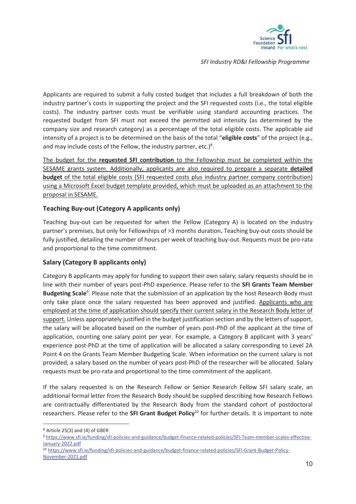

Applicants are required to submit a fully costed budget that includes a full breakdown of both the industry partner's costs in supporting the project and the SFI requested costs (i.e., the total eligible costs). The industry partner costs must be verifiable using standard accounting practices. The requested budget from SFI must not exceed the permitted aid intensity (as determined by the company size and research category) as a percentage of the total eligible costs. The applicable aid intensity of a project is to be determined on the basis of the total "**eligible costs**" of the project (e.g., and may include costs of the Fellow, the industry partner, etc.) $8$ .

The budget for the **requested SFI contribution** to the Fellowship must be completed within the SESAME grants system. Additionally, applicants are also required to prepare a separate **detailed budget** of the total eligible costs (SFI requested costs plus industry partner company contribution) using a Microsoft Excel budget template provided, which must be uploaded as an attachment to the proposal in SESAME.

#### **Teaching Buy-out (Category A applicants only)**

Teaching buy-out can be requested for when the Fellow (Category A) is located on the industry partner's premises, but only for Fellowships of >3 months duration**.** Teaching buy-out costs should be fully justified, detailing the number of hours per week of teaching buy-out. Requests must be pro-rata and proportional to the time commitment.

#### **Salary (Category B applicants only)**

Category B applicants may apply for funding to support their own salary; salary requests should be in line with their number of years post-PhD experience. Please refer to the **SFI Grants Team Member**  Budgeting Scale<sup>9</sup>. Please note that the submission of an application by the host Research Body must only take place once the salary requested has been approved and justified. Applicants who are employed at the time of application should specify their current salary in the Research Body letter of support. Unless appropriately justified in the budget justification section and by the letters of support, the salary will be allocated based on the number of years post-PhD of the applicant at the time of application, counting one salary point per year. For example, a Category B applicant with 3 years' experience post-PhD at the time of application will be allocated a salary corresponding to Level 2A Point 4 on the Grants Team Member Budgeting Scale. When information on the current salary is not provided, a salary based on the number of years post-PhD of the researcher will be allocated. Salary requests must be pro-rata and proportional to the time commitment of the applicant.

If the salary requested is on the Research Fellow or Senior Research Fellow SFI salary scale, an additional formal letter from the Research Body should be supplied describing how Research Fellows are contractually differentiated by the Research Body from the standard cohort of postdoctoral researchers. Please refer to the **SFI Grant Budget Policy**10 for further details. It is important to note

<sup>8</sup> Article 25(3) and (4) of GBER

<sup>9</sup> https://www.sfi.ie/funding/sfi-policies-and-guidance/budget-finance-related-policies/SFI-Team-member-scales-effective-January-2022.pdf

<sup>10</sup> https://www.sfi.ie/funding/sfi-policies-and-guidance/budget-finance-related-policies/SFI-Grant-Budget-Policy-November-2021.pdf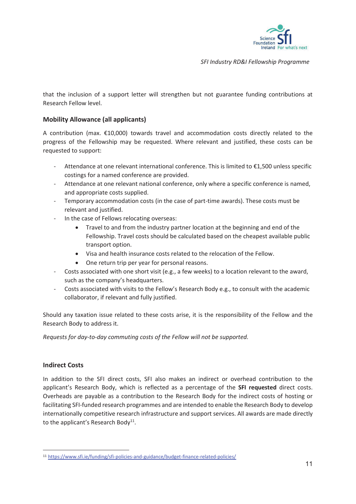

that the inclusion of a support letter will strengthen but not guarantee funding contributions at Research Fellow level.

#### **Mobility Allowance (all applicants)**

A contribution (max. €10,000) towards travel and accommodation costs directly related to the progress of the Fellowship may be requested. Where relevant and justified, these costs can be requested to support:

- Attendance at one relevant international conference. This is limited to €1,500 unless specific costings for a named conference are provided.
- Attendance at one relevant national conference, only where a specific conference is named, and appropriate costs supplied.
- Temporary accommodation costs (in the case of part-time awards). These costs must be relevant and justified.
- In the case of Fellows relocating overseas:
	- Travel to and from the industry partner location at the beginning and end of the Fellowship. Travel costs should be calculated based on the cheapest available public transport option.
	- Visa and health insurance costs related to the relocation of the Fellow.
	- One return trip per year for personal reasons.
- Costs associated with one short visit (e.g., a few weeks) to a location relevant to the award, such as the company's headquarters.
- Costs associated with visits to the Fellow's Research Body e.g., to consult with the academic collaborator, if relevant and fully justified.

Should any taxation issue related to these costs arise, it is the responsibility of the Fellow and the Research Body to address it.

*Requests for day-to-day commuting costs of the Fellow will not be supported.* 

#### **Indirect Costs**

In addition to the SFI direct costs, SFI also makes an indirect or overhead contribution to the applicant's Research Body, which is reflected as a percentage of the **SFI requested** direct costs. Overheads are payable as a contribution to the Research Body for the indirect costs of hosting or facilitating SFI-funded research programmes and are intended to enable the Research Body to develop internationally competitive research infrastructure and support services. All awards are made directly to the applicant's Research Body $^{11}$ .

<sup>11</sup> https://www.sfi.ie/funding/sfi-policies-and-guidance/budget-finance-related-policies/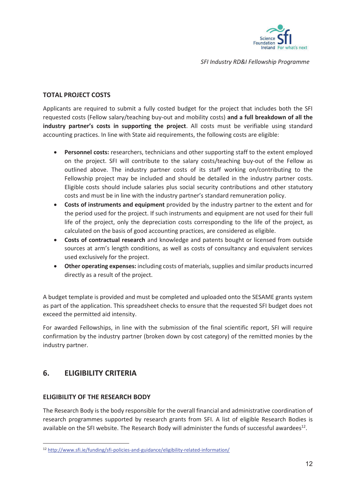

### **TOTAL PROJECT COSTS**

Applicants are required to submit a fully costed budget for the project that includes both the SFI requested costs (Fellow salary/teaching buy-out and mobility costs) **and a full breakdown of all the industry partner's costs in supporting the project**. All costs must be verifiable using standard accounting practices. In line with State aid requirements, the following costs are eligible:

- **•** Personnel costs: researchers, technicians and other supporting staff to the extent employed on the project. SFI will contribute to the salary costs/teaching buy-out of the Fellow as outlined above. The industry partner costs of its staff working on/contributing to the Fellowship project may be included and should be detailed in the industry partner costs. Eligible costs should include salaries plus social security contributions and other statutory costs and must be in line with the industry partner's standard remuneration policy.
- x **Costs of instruments and equipment** provided by the industry partner to the extent and for the period used for the project. If such instruments and equipment are not used for their full life of the project, only the depreciation costs corresponding to the life of the project, as calculated on the basis of good accounting practices, are considered as eligible.
- **•** Costs of contractual research and knowledge and patents bought or licensed from outside sources at arm's length conditions, as well as costs of consultancy and equivalent services used exclusively for the project.
- **•** Other operating expenses: including costs of materials, supplies and similar products incurred directly as a result of the project.

A budget template is provided and must be completed and uploaded onto the SESAME grants system as part of the application. This spreadsheet checks to ensure that the requested SFI budget does not exceed the permitted aid intensity.

For awarded Fellowships, in line with the submission of the final scientific report, SFI will require confirmation by the industry partner (broken down by cost category) of the remitted monies by the industry partner.

# **6. ELIGIBILITY CRITERIA**

#### **ELIGIBILITY OF THE RESEARCH BODY**

The Research Body is the body responsible for the overall financial and administrative coordination of research programmes supported by research grants from SFI. A list of eligible Research Bodies is available on the SFI website. The Research Body will administer the funds of successful awardees<sup>12</sup>.

<sup>12</sup> http://www.sfi.ie/funding/sfi-policies-and-guidance/eligibility-related-information/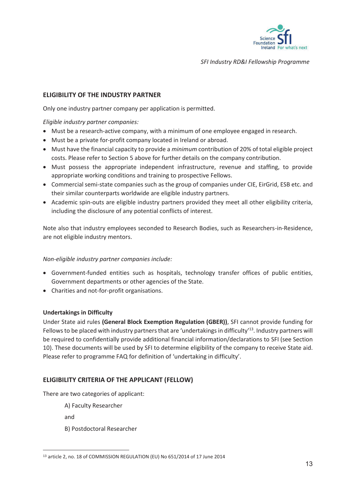

#### **ELIGIBILITY OF THE INDUSTRY PARTNER**

Only one industry partner company per application is permitted.

*Eligible industry partner companies:* 

- Must be a research-active company, with a minimum of one employee engaged in research.
- Must be a private for-profit company located in Ireland or abroad.
- Must have the financial capacity to provide a *minimum* contribution of 20% of total eligible project costs. Please refer to Section 5 above for further details on the company contribution.
- Must possess the appropriate independent infrastructure, revenue and staffing, to provide appropriate working conditions and training to prospective Fellows.
- Commercial semi-state companies such as the group of companies under CIE, EirGrid, ESB etc. and their similar counterparts worldwide are eligible industry partners.
- Academic spin-outs are eligible industry partners provided they meet all other eligibility criteria, including the disclosure of any potential conflicts of interest.

Note also that industry employees seconded to Research Bodies, such as Researchers-in-Residence, are not eligible industry mentors.

#### *Non-eligible industry partner companies include:*

- Government-funded entities such as hospitals, technology transfer offices of public entities, Government departments or other agencies of the State.
- Charities and not-for-profit organisations.

#### **Undertakings in Difficulty**

Under State aid rules **(General Block Exemption Regulation (GBER))**, SFI cannot provide funding for Fellows to be placed with industry partners that are 'undertakings in difficulty'<sup>13</sup>. Industry partners will be required to confidentially provide additional financial information/declarations to SFI (see Section 10). These documents will be used by SFI to determine eligibility of the company to receive State aid. Please refer to programme FAQ for definition of 'undertaking in difficulty'.

#### **ELIGIBILITY CRITERIA OF THE APPLICANT (FELLOW)**

There are two categories of applicant:

A) Faculty Researcher

and

B) Postdoctoral Researcher

<sup>&</sup>lt;sup>13</sup> article 2, no. 18 of COMMISSION REGULATION (EU) No 651/2014 of 17 June 2014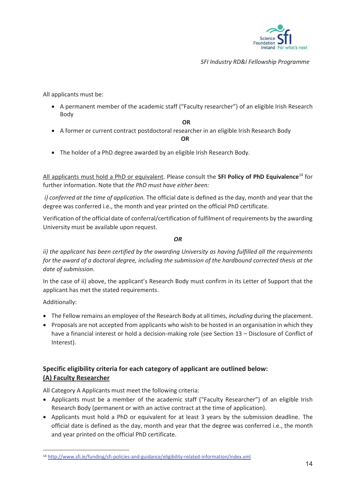

All applicants must be:

• A permanent member of the academic staff ("Faculty researcher") of an eligible Irish Research Body

**OR** 

• A former or current contract postdoctoral researcher in an eligible Irish Research Body

 **OR**

• The holder of a PhD degree awarded by an eligible Irish Research Body.

All applicants must hold a PhD or equivalent. Please consult the **SFI Policy of PhD Equivalence**14 for further information. Note that *the PhD must have either been:* 

 *i) conferred at the time of application.* The official date is defined as the day, month and year that the degree was conferred i.e., the month and year printed on the official PhD certificate.

Verification of the official date of conferral/certification of fulfilment of requirements by the awarding University must be available upon request.

*OR* 

*ii) the applicant has been certified by the awarding University as having fulfilled all the requirements for the award of a doctoral degree, including the submission of the hardbound corrected thesis at the date of submission*.

In the case of ii) above, the applicant's Research Body must confirm in its Letter of Support that the applicant has met the stated requirements.

Additionally:

- x The Fellow remains an employee of the Research Body at all times, *including* during the placement.
- Proposals are not accepted from applicants who wish to be hosted in an organisation in which they have a financial interest or hold a decision-making role (see Section 13 – Disclosure of Conflict of Interest).

# **Specific eligibility criteria for each category of applicant are outlined below: (A) Faculty Researcher**

All Category A Applicants must meet the following criteria:

- Applicants must be a member of the academic staff ("Faculty Researcher") of an eligible Irish Research Body (permanent or with an active contract at the time of application).
- Applicants must hold a PhD or equivalent for at least 3 years by the submission deadline. The official date is defined as the day, month and year that the degree was conferred i.e., the month and year printed on the official PhD certificate.

<sup>14</sup> http://www.sfi.ie/funding/sfi-policies-and-guidance/eligibility-related-information/index.xml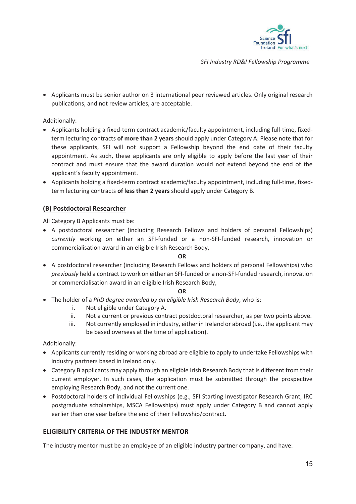

• Applicants must be senior author on 3 international peer reviewed articles. Only original research publications, and not review articles, are acceptable.

#### Additionally:

- Applicants holding a fixed-term contract academic/faculty appointment, including full-time, fixedterm lecturing contracts **of more than 2 years** should apply under Category A. Please note that for these applicants, SFI will not support a Fellowship beyond the end date of their faculty appointment. As such, these applicants are only eligible to apply before the last year of their contract and must ensure that the award duration would not extend beyond the end of the applicant's faculty appointment.
- Applicants holding a fixed-term contract academic/faculty appointment, including full-time, fixedterm lecturing contracts **of less than 2 years** should apply under Category B.

#### **(B) Postdoctoral Researcher**

All Category B Applicants must be:

• A postdoctoral researcher (including Research Fellows and holders of personal Fellowships) *currently* working on either an SFI-funded or a non-SFI-funded research, innovation or commercialisation award in an eligible Irish Research Body,

#### **OR**

• A postdoctoral researcher (including Research Fellows and holders of personal Fellowships) who *previously* held a contract to work on either an SFI-funded or a non-SFI-funded research, innovation or commercialisation award in an eligible Irish Research Body,

#### **OR**

- x The holder of a *PhD degree awarded by an eligible Irish Research Body*, who is:
	- i. Not eligible under Category A.
	- ii. Not a current or previous contract postdoctoral researcher, as per two points above.
	- iii. Not currently employed in industry, either in Ireland or abroad (i.e., the applicant may be based overseas at the time of application).

#### Additionally:

- Applicants currently residing or working abroad are eligible to apply to undertake Fellowships with industry partners based in Ireland only.
- Category B applicants may apply through an eligible Irish Research Body that is different from their current employer. In such cases, the application must be submitted through the prospective employing Research Body, and not the current one.
- Postdoctoral holders of individual Fellowships (e.g., SFI Starting Investigator Research Grant, IRC postgraduate scholarships, MSCA Fellowships) must apply under Category B and cannot apply earlier than one year before the end of their Fellowship/contract.

#### **ELIGIBILITY CRITERIA OF THE INDUSTRY MENTOR**

The industry mentor must be an employee of an eligible industry partner company, and have: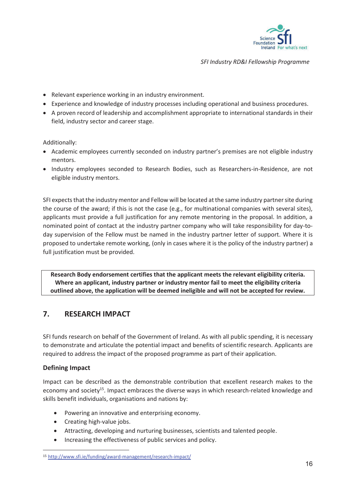

- Relevant experience working in an industry environment.
- Experience and knowledge of industry processes including operational and business procedures.
- A proven record of leadership and accomplishment appropriate to international standards in their field, industry sector and career stage.

Additionally:

- Academic employees currently seconded on industry partner's premises are not eligible industry mentors.
- Industry employees seconded to Research Bodies, such as Researchers-in-Residence, are not eligible industry mentors.

SFI expects that the industry mentor and Fellow will be located at the same industry partner site during the course of the award; if this is not the case (e.g., for multinational companies with several sites), applicants must provide a full justification for any remote mentoring in the proposal. In addition, a nominated point of contact at the industry partner company who will take responsibility for day-today supervision of the Fellow must be named in the industry partner letter of support. Where it is proposed to undertake remote working, (only in cases where it is the policy of the industry partner) a full justification must be provided.

**Research Body endorsement certifies that the applicant meets the relevant eligibility criteria. Where an applicant, industry partner or industry mentor fail to meet the eligibility criteria outlined above, the application will be deemed ineligible and will not be accepted for review.** 

# **7. RESEARCH IMPACT**

SFI funds research on behalf of the Government of Ireland. As with all public spending, it is necessary to demonstrate and articulate the potential impact and benefits of scientific research. Applicants are required to address the impact of the proposed programme as part of their application.

#### **Defining Impact**

Impact can be described as the demonstrable contribution that excellent research makes to the economy and society<sup>15</sup>. Impact embraces the diverse ways in which research-related knowledge and skills benefit individuals, organisations and nations by:

- Powering an innovative and enterprising economy.
- Creating high-value jobs.
- Attracting, developing and nurturing businesses, scientists and talented people.
- Increasing the effectiveness of public services and policy.

<sup>15</sup> http://www.sfi.ie/funding/award-management/research-impact/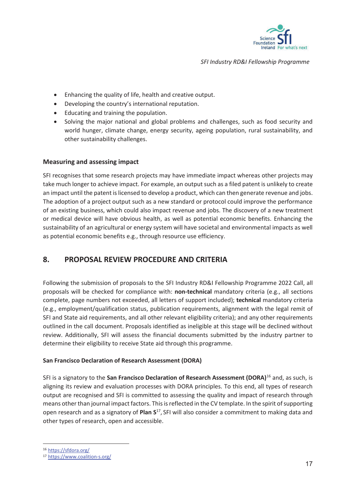

- Enhancing the quality of life, health and creative output.
- Developing the country's international reputation.
- Educating and training the population.
- Solving the major national and global problems and challenges, such as food security and world hunger, climate change, energy security, ageing population, rural sustainability, and other sustainability challenges.

#### **Measuring and assessing impact**

SFI recognises that some research projects may have immediate impact whereas other projects may take much longer to achieve impact. For example, an output such as a filed patent is unlikely to create an impact until the patent is licensed to develop a product, which can then generate revenue and jobs. The adoption of a project output such as a new standard or protocol could improve the performance of an existing business, which could also impact revenue and jobs. The discovery of a new treatment or medical device will have obvious health, as well as potential economic benefits. Enhancing the sustainability of an agricultural or energy system will have societal and environmental impacts as well as potential economic benefits e.g., through resource use efficiency.

# **8. PROPOSAL REVIEW PROCEDURE AND CRITERIA**

Following the submission of proposals to the SFI Industry RD&I Fellowship Programme 2022 Call, all proposals will be checked for compliance with: **non-technical** mandatory criteria (e.g., all sections complete, page numbers not exceeded, all letters of support included); **technical** mandatory criteria (e.g., employment/qualification status, publication requirements, alignment with the legal remit of SFI and State aid requirements, and all other relevant eligibility criteria); and any other requirements outlined in the call document. Proposals identified as ineligible at this stage will be declined without review. Additionally, SFI will assess the financial documents submitted by the industry partner to determine their eligibility to receive State aid through this programme.

#### **San Francisco Declaration of Research Assessment (DORA)**

SFI is a signatory to the **San Francisco Declaration of Research Assessment (DORA)**16 and, as such, is aligning its review and evaluation processes with DORA principles. To this end, all types of research output are recognised and SFI is committed to assessing the quality and impact of research through means other than journal impact factors. This is reflected in the CV template. In the spirit of supporting open research and as a signatory of **Plan S**17, SFI will also consider a commitment to making data and other types of research, open and accessible.

<sup>16</sup> https://sfdora.org/

<sup>17</sup> https://www.coalition-s.org/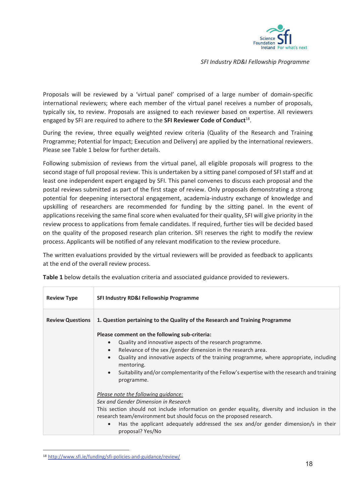

Proposals will be reviewed by a 'virtual panel' comprised of a large number of domain-specific international reviewers; where each member of the virtual panel receives a number of proposals, typically six, to review. Proposals are assigned to each reviewer based on expertise. All reviewers engaged by SFI are required to adhere to the **SFI Reviewer Code of Conduct**18.

During the review, three equally weighted review criteria (Quality of the Research and Training Programme; Potential for Impact; Execution and Delivery) are applied by the international reviewers. Please see Table 1 below for further details.

Following submission of reviews from the virtual panel, all eligible proposals will progress to the second stage of full proposal review. This is undertaken by a sitting panel composed of SFI staff and at least one independent expert engaged by SFI. This panel convenes to discuss each proposal and the postal reviews submitted as part of the first stage of review. Only proposals demonstrating a strong potential for deepening intersectoral engagement, academia-industry exchange of knowledge and upskilling of researchers are recommended for funding by the sitting panel. In the event of applications receiving the same final score when evaluated for their quality, SFI will give priority in the review process to applications from female candidates. If required, further ties will be decided based on the quality of the proposed research plan criterion. SFI reserves the right to modify the review process. Applicants will be notified of any relevant modification to the review procedure.

The written evaluations provided by the virtual reviewers will be provided as feedback to applicants at the end of the overall review process.

| <b>Review Type</b>      | <b>SFI Industry RD&amp;I Fellowship Programme</b>                                                                      |  |  |  |
|-------------------------|------------------------------------------------------------------------------------------------------------------------|--|--|--|
| <b>Review Questions</b> | 1. Question pertaining to the Quality of the Research and Training Programme                                           |  |  |  |
|                         | Please comment on the following sub-criteria:                                                                          |  |  |  |
|                         | Quality and innovative aspects of the research programme.                                                              |  |  |  |
|                         | Relevance of the sex /gender dimension in the research area.<br>$\bullet$                                              |  |  |  |
|                         | Quality and innovative aspects of the training programme, where appropriate, including<br>$\bullet$<br>mentoring.      |  |  |  |
|                         | Suitability and/or complementarity of the Fellow's expertise with the research and training<br>$\bullet$<br>programme. |  |  |  |
|                         | Please note the following quidance:                                                                                    |  |  |  |
|                         | Sex and Gender Dimension in Research                                                                                   |  |  |  |
|                         | This section should not include information on gender equality, diversity and inclusion in the                         |  |  |  |
|                         | research team/environment but should focus on the proposed research.                                                   |  |  |  |
|                         | Has the applicant adequately addressed the sex and/or gender dimension/s in their<br>proposal? Yes/No                  |  |  |  |

**Table 1** below details the evaluation criteria and associated guidance provided to reviewers.

<sup>18</sup> http://www.sfi.ie/funding/sfi-policies-and-guidance/review/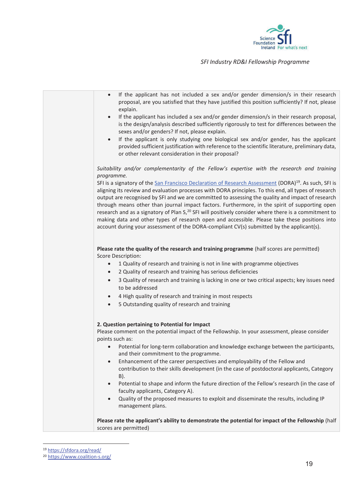



<sup>19</sup> https://sfdora.org/read/<br>20 https://www.coalition-s.org/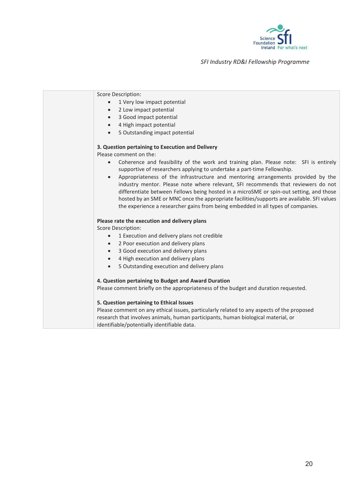

| <b>Score Description:</b>                                                                                                                                                          |
|------------------------------------------------------------------------------------------------------------------------------------------------------------------------------------|
| 1 Very low impact potential                                                                                                                                                        |
| 2 Low impact potential<br>$\bullet$                                                                                                                                                |
| 3 Good impact potential<br>$\bullet$                                                                                                                                               |
| 4 High impact potential<br>$\bullet$                                                                                                                                               |
| 5 Outstanding impact potential<br>$\bullet$                                                                                                                                        |
| 3. Question pertaining to Execution and Delivery                                                                                                                                   |
| Please comment on the:                                                                                                                                                             |
| Coherence and feasibility of the work and training plan. Please note: SFI is entirely                                                                                              |
| supportive of researchers applying to undertake a part-time Fellowship.                                                                                                            |
| Appropriateness of the infrastructure and mentoring arrangements provided by the<br>$\bullet$<br>industry mentor. Please note where relevant, SFI recommends that reviewers do not |
| differentiate between Fellows being hosted in a microSME or spin-out setting, and those                                                                                            |
| hosted by an SME or MNC once the appropriate facilities/supports are available. SFI values                                                                                         |
| the experience a researcher gains from being embedded in all types of companies.                                                                                                   |
| Please rate the execution and delivery plans                                                                                                                                       |
| <b>Score Description:</b>                                                                                                                                                          |
| 1 Execution and delivery plans not credible<br>$\bullet$                                                                                                                           |
| 2 Poor execution and delivery plans<br>$\bullet$                                                                                                                                   |
| 3 Good execution and delivery plans<br>$\bullet$                                                                                                                                   |
| 4 High execution and delivery plans                                                                                                                                                |
| 5 Outstanding execution and delivery plans<br>$\bullet$                                                                                                                            |
| 4. Question pertaining to Budget and Award Duration                                                                                                                                |
| Please comment briefly on the appropriateness of the budget and duration requested.                                                                                                |
| 5. Question pertaining to Ethical Issues                                                                                                                                           |
| Please comment on any ethical issues, particularly related to any aspects of the proposed                                                                                          |
| research that involves animals, human participants, human biological material, or                                                                                                  |
| identifiable/potentially identifiable data.                                                                                                                                        |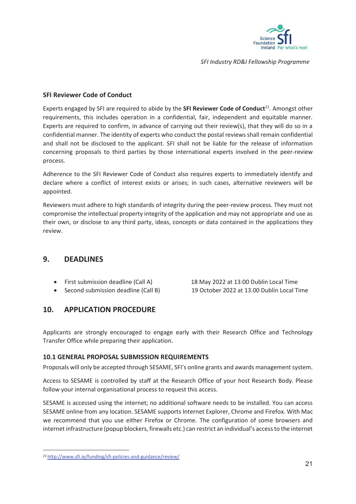

#### **SFI Reviewer Code of Conduct**

Experts engaged by SFI are required to abide by the **SFI Reviewer Code of Conduct**21. Amongst other requirements, this includes operation in a confidential, fair, independent and equitable manner. Experts are required to confirm, in advance of carrying out their review(s), that they will do so in a confidential manner. The identity of experts who conduct the postal reviews shall remain confidential and shall not be disclosed to the applicant. SFI shall not be liable for the release of information concerning proposals to third parties by those international experts involved in the peer-review process.

Adherence to the SFI Reviewer Code of Conduct also requires experts to immediately identify and declare where a conflict of interest exists or arises; in such cases, alternative reviewers will be appointed.

Reviewers must adhere to high standards of integrity during the peer-review process. They must not compromise the intellectual property integrity of the application and may not appropriate and use as their own, or disclose to any third party, ideas, concepts or data contained in the applications they review.

# **9. DEADLINES**

- 
- 

• First submission deadline (Call A) 18 May 2022 at 13:00 Dublin Local Time • Second submission deadline (Call B) 19 October 2022 at 13.00 Dublin Local Time

# **10. APPLICATION PROCEDURE**

Applicants are strongly encouraged to engage early with their Research Office and Technology Transfer Office while preparing their application.

# **10.1 GENERAL PROPOSAL SUBMISSION REQUIREMENTS**

Proposals will only be accepted through SESAME, SFI's online grants and awards management system.

Access to SESAME is controlled by staff at the Research Office of your host Research Body. Please follow your internal organisational process to request this access.

SESAME is accessed using the internet; no additional software needs to be installed. You can access SESAME online from any location. SESAME supports Internet Explorer, Chrome and Firefox. With Mac we recommend that you use either Firefox or Chrome. The configuration of some browsers and internet infrastructure (popup blockers, firewalls etc.) can restrict an individual's access to the internet

<sup>21</sup> http://www.sfi.ie/funding/sfi-policies-and-guidance/review/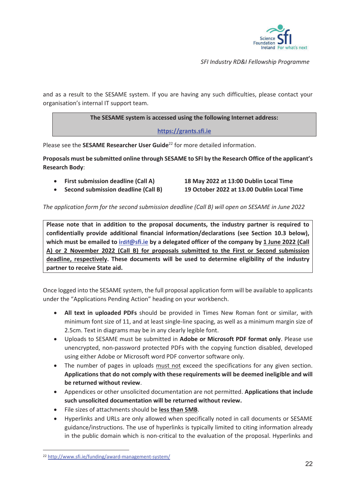

and as a result to the SESAME system. If you are having any such difficulties, please contact your organisation's internal IT support team.

#### **The SESAME system is accessed using the following Internet address:**

#### **https://grants.sfi.ie**

Please see the **SESAME Researcher User Guide**<sup>22</sup> for more detailed information.

**Proposals must be submitted online through SESAME to SFI by the Research Office of the applicant's Research Body**:

x **First submission deadline (Call A) 18 May 2022 at 13:00 Dublin Local Time** 

x **Second submission deadline (Call B) 19 October 2022 at 13.00 Dublin Local Time** 

#### *The application form for the second submission deadline (Call B) will open on SESAME in June 2022*

**Please note that in addition to the proposal documents, the industry partner is required to confidentially provide additional financial information/declarations (see Section 10.3 below), which must be emailed to irdif@sfi.ie by a delegated officer of the company by 1 June 2022 (Call A) or 2 November 2022 (Call B) for proposals submitted to the First or Second submission deadline, respectively. These documents will be used to determine eligibility of the industry partner to receive State aid.** 

Once logged into the SESAME system, the full proposal application form will be available to applicants under the "Applications Pending Action" heading on your workbench.

- x **All text in uploaded PDFs** should be provided in Times New Roman font or similar, with minimum font size of 11, and at least single-line spacing, as well as a minimum margin size of 2.5cm. Text in diagrams may be in any clearly legible font.
- x Uploads to SESAME must be submitted in **Adobe or Microsoft PDF format only**. Please use unencrypted, non-password protected PDFs with the copying function disabled, developed using either Adobe or Microsoft word PDF convertor software only.
- The number of pages in uploads must not exceed the specifications for any given section. **Applications that do not comply with these requirements will be deemed ineligible and will be returned without review**.
- x Appendices or other unsolicited documentation are not permitted. **Applications that include such unsolicited documentation will be returned without review.**
- x File sizes of attachments should be **less than 5MB**.
- Hyperlinks and URLs are only allowed when specifically noted in call documents or SESAME guidance/instructions. The use of hyperlinks is typically limited to citing information already in the public domain which is non-critical to the evaluation of the proposal. Hyperlinks and

<sup>22</sup> http://www.sfi.ie/funding/award-management-system/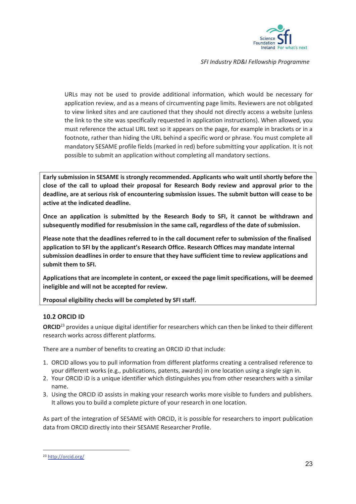

URLs may not be used to provide additional information, which would be necessary for application review, and as a means of circumventing page limits. Reviewers are not obligated to view linked sites and are cautioned that they should not directly access a website (unless the link to the site was specifically requested in application instructions). When allowed, you must reference the actual URL text so it appears on the page, for example in brackets or in a footnote, rather than hiding the URL behind a specific word or phrase. You must complete all mandatory SESAME profile fields (marked in red) before submitting your application. It is not possible to submit an application without completing all mandatory sections.

**Early submission in SESAME is strongly recommended. Applicants who wait until shortly before the close of the call to upload their proposal for Research Body review and approval prior to the deadline, are at serious risk of encountering submission issues. The submit button will cease to be active at the indicated deadline.** 

**Once an application is submitted by the Research Body to SFI, it cannot be withdrawn and subsequently modified for resubmission in the same call, regardless of the date of submission.** 

**Please note that the deadlines referred to in the call document refer to submission of the finalised application to SFI by the applicant's Research Office. Research Offices may mandate internal submission deadlines in order to ensure that they have sufficient time to review applications and submit them to SFI.** 

**Applications that are incomplete in content, or exceed the page limit specifications, will be deemed ineligible and will not be accepted for review.** 

**Proposal eligibility checks will be completed by SFI staff.** 

#### **10.2 ORCID ID**

**ORCID**<sup>23</sup> provides a unique digital identifier for researchers which can then be linked to their different research works across different platforms.

There are a number of benefits to creating an ORCID iD that include:

- 1. ORCID allows you to pull information from different platforms creating a centralised reference to your different works (e.g., publications, patents, awards) in one location using a single sign in.
- 2. Your ORCID iD is a unique identifier which distinguishes you from other researchers with a similar name.
- 3. Using the ORCID iD assists in making your research works more visible to funders and publishers. It allows you to build a complete picture of your research in one location.

As part of the integration of SESAME with ORCID, it is possible for researchers to import publication data from ORCID directly into their SESAME Researcher Profile.

<sup>23</sup> http://orcid.org/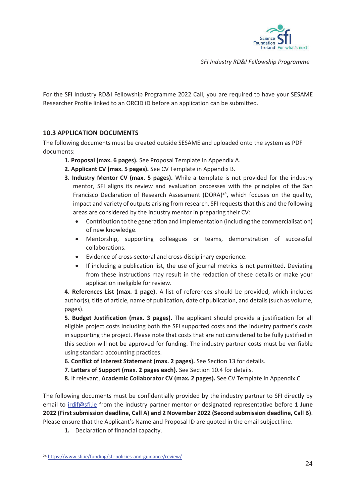

For the SFI Industry RD&I Fellowship Programme 2022 Call, you are required to have your SESAME Researcher Profile linked to an ORCID iD before an application can be submitted.

#### **10.3 APPLICATION DOCUMENTS**

The following documents must be created outside SESAME and uploaded onto the system as PDF documents:

- **1. Proposal (max. 6 pages).** See Proposal Template in Appendix A.
- **2. Applicant CV (max. 5 pages).** See CV Template in Appendix B.
- **3. Industry Mentor CV (max. 5 pages).** While a template is not provided for the industry mentor, SFI aligns its review and evaluation processes with the principles of the San Francisco Declaration of Research Assessment (DORA) $^{24}$ , which focuses on the quality, impact and variety of outputs arising from research. SFI requests that this and the following areas are considered by the industry mentor in preparing their CV:
	- Contribution to the generation and implementation (including the commercialisation) of new knowledge.
	- Mentorship, supporting colleagues or teams, demonstration of successful collaborations.
	- Evidence of cross-sectoral and cross-disciplinary experience.
	- If including a publication list, the use of journal metrics is not permitted. Deviating from these instructions may result in the redaction of these details or make your application ineligible for review.

**4. References List (max. 1 page).** A list of references should be provided, which includes author(s), title of article, name of publication, date of publication, and details (such as volume, pages).

**5. Budget Justification (max. 3 pages).** The applicant should provide a justification for all eligible project costs including both the SFI supported costs and the industry partner's costs in supporting the project. Please note that costs that are not considered to be fully justified in this section will not be approved for funding. The industry partner costs must be verifiable using standard accounting practices.

- **6. Conflict of Interest Statement (max. 2 pages).** See Section 13 for details.
- **7. Letters of Support (max. 2 pages each).** See Section 10.4 for details.

**8.** If relevant, **Academic Collaborator CV (max. 2 pages).** See CV Template in Appendix C.

The following documents must be confidentially provided by the industry partner to SFI directly by email to irdif@sfi.ie from the industry partner mentor or designated representative before **1 June 2022 (First submission deadline, Call A) and 2 November 2022 (Second submission deadline, Call B)**. Please ensure that the Applicant's Name and Proposal ID are quoted in the email subject line.

**1.** Declaration of financial capacity.

<sup>24</sup> https://www.sfi.ie/funding/sfi-policies-and-guidance/review/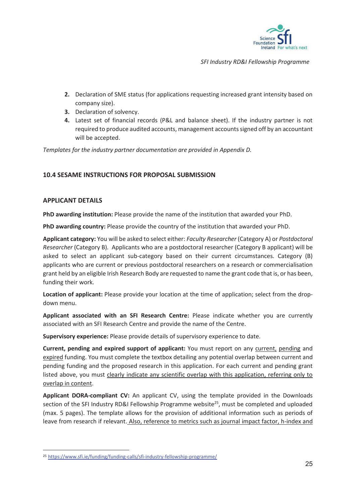

- **2.** Declaration of SME status (for applications requesting increased grant intensity based on company size).
- **3.** Declaration of solvency.
- **4.** Latest set of financial records (P&L and balance sheet). If the industry partner is not required to produce audited accounts, management accounts signed off by an accountant will be accepted.

*Templates for the industry partner documentation are provided in Appendix D.* 

### **10.4 SESAME INSTRUCTIONS FOR PROPOSAL SUBMISSION**

#### **APPLICANT DETAILS**

**PhD awarding institution:** Please provide the name of the institution that awarded your PhD.

**PhD awarding country:** Please provide the country of the institution that awarded your PhD.

**Applicant category:** You will be asked to select either: *Faculty Researcher* (Category A) or *Postdoctoral Researcher* (Category B)*.* Applicants who are a postdoctoral researcher (Category B applicant) will be asked to select an applicant sub-category based on their current circumstances. Category (B) applicants who are current or previous postdoctoral researchers on a research or commercialisation grant held by an eligible Irish Research Body are requested to name the grant code that is, or has been, funding their work.

**Location of applicant:** Please provide your location at the time of application; select from the dropdown menu.

**Applicant associated with an SFI Research Centre:** Please indicate whether you are currently associated with an SFI Research Centre and provide the name of the Centre.

**Supervisory experience:** Please provide details of supervisory experience to date.

**Current, pending and expired support of applicant:** You must report on any current, pending and expired funding. You must complete the textbox detailing any potential overlap between current and pending funding and the proposed research in this application. For each current and pending grant listed above, you must clearly indicate any scientific overlap with this application, referring only to overlap in content.

**Applicant DORA-compliant CV:** An applicant CV, using the template provided in the Downloads section of the SFI Industry RD&I Fellowship Programme website<sup>25</sup>, must be completed and uploaded (max. 5 pages). The template allows for the provision of additional information such as periods of leave from research if relevant. Also, reference to metrics such as journal impact factor, h-index and

<sup>25</sup> https://www.sfi.ie/funding/funding-calls/sfi-industry-fellowship-programme/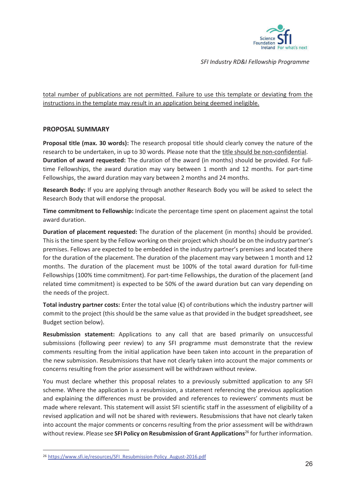

#### total number of publications are not permitted. Failure to use this template or deviating from the instructions in the template may result in an application being deemed ineligible.

#### **PROPOSAL SUMMARY**

**Proposal title (max. 30 words):** The research proposal title should clearly convey the nature of the research to be undertaken, in up to 30 words. Please note that the title should be non-confidential. **Duration of award requested:** The duration of the award (in months) should be provided. For fulltime Fellowships, the award duration may vary between 1 month and 12 months. For part-time Fellowships, the award duration may vary between 2 months and 24 months.

**Research Body:** If you are applying through another Research Body you will be asked to select the Research Body that will endorse the proposal.

**Time commitment to Fellowship:** Indicate the percentage time spent on placement against the total award duration.

**Duration of placement requested:** The duration of the placement (in months) should be provided. This is the time spent by the Fellow working on their project which should be on the industry partner's premises. Fellows are expected to be embedded in the industry partner's premises and located there for the duration of the placement. The duration of the placement may vary between 1 month and 12 months. The duration of the placement must be 100% of the total award duration for full-time Fellowships (100% time commitment). For part-time Fellowships, the duration of the placement (and related time commitment) is expected to be 50% of the award duration but can vary depending on the needs of the project.

**Total industry partner costs:** Enter the total value (€) of contributions which the industry partner will commit to the project (this should be the same value as that provided in the budget spreadsheet, see Budget section below).

**Resubmission statement:** Applications to any call that are based primarily on unsuccessful submissions (following peer review) to any SFI programme must demonstrate that the review comments resulting from the initial application have been taken into account in the preparation of the new submission. Resubmissions that have not clearly taken into account the major comments or concerns resulting from the prior assessment will be withdrawn without review.

You must declare whether this proposal relates to a previously submitted application to any SFI scheme. Where the application is a resubmission, a statement referencing the previous application and explaining the differences must be provided and references to reviewers' comments must be made where relevant. This statement will assist SFI scientific staff in the assessment of eligibility of a revised application and will not be shared with reviewers. Resubmissions that have not clearly taken into account the major comments or concerns resulting from the prior assessment will be withdrawn without review. Please see **SFI Policy on Resubmission of Grant Applications**26 for further information.

<sup>26</sup> https://www.sfi.ie/resources/SFI\_Resubmission-Policy\_August-2016.pdf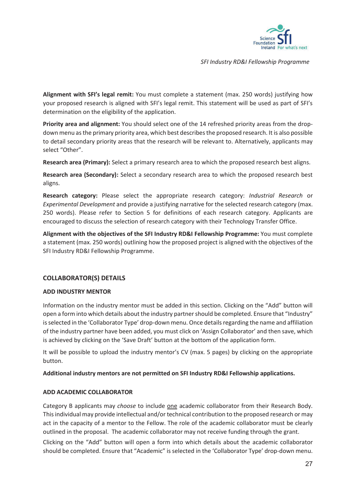

**Alignment with SFI's legal remit:** You must complete a statement (max. 250 words) justifying how your proposed research is aligned with SFI's legal remit. This statement will be used as part of SFI's determination on the eligibility of the application.

**Priority area and alignment:** You should select one of the 14 refreshed priority areas from the dropdown menu as the primary priority area, which best describes the proposed research. It is also possible to detail secondary priority areas that the research will be relevant to. Alternatively, applicants may select "Other".

**Research area (Primary):** Select a primary research area to which the proposed research best aligns.

**Research area (Secondary):** Select a secondary research area to which the proposed research best aligns.

**Research category:** Please select the appropriate research category: *Industrial Research* or *Experimental Development* and provide a justifying narrative for the selected research category (max. 250 words). Please refer to Section 5 for definitions of each research category. Applicants are encouraged to discuss the selection of research category with their Technology Transfer Office.

**Alignment with the objectives of the SFI Industry RD&I Fellowship Programme:** You must complete a statement (max. 250 words) outlining how the proposed project is aligned with the objectives of the SFI Industry RD&I Fellowship Programme.

#### **COLLABORATOR(S) DETAILS**

#### **ADD INDUSTRY MENTOR**

Information on the industry mentor must be added in this section. Clicking on the "Add" button will open a form into which details about the industry partner should be completed. Ensure that "Industry" is selected in the 'Collaborator Type' drop-down menu. Once details regarding the name and affiliation of the industry partner have been added, you must click on 'Assign Collaborator' and then save, which is achieved by clicking on the 'Save Draft' button at the bottom of the application form.

It will be possible to upload the industry mentor's CV (max. 5 pages) by clicking on the appropriate button.

#### **Additional industry mentors are not permitted on SFI Industry RD&I Fellowship applications.**

#### **ADD ACADEMIC COLLABORATOR**

Category B applicants may *choose* to include one academic collaborator from their Research Body. This individual may provide intellectual and/or technical contribution to the proposed research or may act in the capacity of a mentor to the Fellow. The role of the academic collaborator must be clearly outlined in the proposal. The academic collaborator may not receive funding through the grant.

Clicking on the "Add" button will open a form into which details about the academic collaborator should be completed. Ensure that "Academic" is selected in the 'Collaborator Type' drop-down menu.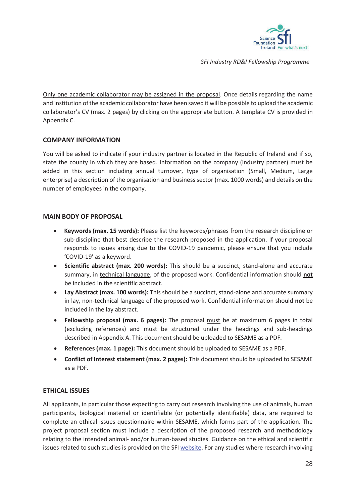

Only one academic collaborator may be assigned in the proposal. Once details regarding the name and institution of the academic collaborator have been saved it will be possible to upload the academic collaborator's CV (max. 2 pages) by clicking on the appropriate button. A template CV is provided in Appendix C.

#### **COMPANY INFORMATION**

You will be asked to indicate if your industry partner is located in the Republic of Ireland and if so, state the county in which they are based. Information on the company (industry partner) must be added in this section including annual turnover, type of organisation (Small, Medium, Large enterprise) a description of the organisation and business sector (max. 1000 words) and details on the number of employees in the company.

#### **MAIN BODY OF PROPOSAL**

- x **Keywords (max. 15 words):** Please list the keywords/phrases from the research discipline or sub-discipline that best describe the research proposed in the application. If your proposal responds to issues arising due to the COVID-19 pandemic, please ensure that you include 'COVID-19' as a keyword.
- x **Scientific abstract (max. 200 words):** This should be a succinct, stand-alone and accurate summary, in technical language, of the proposed work. Confidential information should **not** be included in the scientific abstract.
- x **Lay Abstract (max. 100 words):** This should be a succinct, stand-alone and accurate summary in lay, non-technical language of the proposed work. Confidential information should **not** be included in the lay abstract.
- **Fellowship proposal (max. 6 pages):** The proposal must be at maximum 6 pages in total (excluding references) and must be structured under the headings and sub-headings described in Appendix A. This document should be uploaded to SESAME as a PDF.
- x **References (max. 1 page):** This document should be uploaded to SESAME as a PDF.
- **Conflict of Interest statement (max. 2 pages):** This document should be uploaded to SESAME as a PDF.

#### **ETHICAL ISSUES**

All applicants, in particular those expecting to carry out research involving the use of animals, human participants, biological material or identifiable (or potentially identifiable) data, are required to complete an ethical issues questionnaire within SESAME, which forms part of the application. The project proposal section must include a description of the proposed research and methodology relating to the intended animal- and/or human-based studies. Guidance on the ethical and scientific issues related to such studies is provided on the SFI website. For any studies where research involving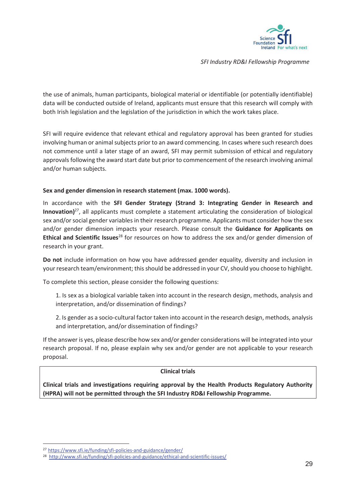

the use of animals, human participants, biological material or identifiable (or potentially identifiable) data will be conducted outside of Ireland, applicants must ensure that this research will comply with both Irish legislation and the legislation of the jurisdiction in which the work takes place.

SFI will require evidence that relevant ethical and regulatory approval has been granted for studies involving human or animal subjects prior to an award commencing. In cases where such research does not commence until a later stage of an award, SFI may permit submission of ethical and regulatory approvals following the award start date but prior to commencement of the research involving animal and/or human subjects.

#### **Sex and gender dimension in research statement (max. 1000 words).**

In accordance with the **SFI Gender Strategy (Strand 3: Integrating Gender in Research and Innovation)**27, all applicants must complete a statement articulating the consideration of biological sex and/or social gender variables in their research programme. Applicants must consider how the sex and/or gender dimension impacts your research. Please consult the **Guidance for Applicants on Ethical and Scientific Issues**28 for resources on how to address the sex and/or gender dimension of research in your grant.

**Do not** include information on how you have addressed gender equality, diversity and inclusion in your research team/environment; this should be addressed in your CV, should you choose to highlight.

To complete this section, please consider the following questions:

1. Is sex as a biological variable taken into account in the research design, methods, analysis and interpretation, and/or dissemination of findings?

2. Is gender as a socio-cultural factor taken into account in the research design, methods, analysis and interpretation, and/or dissemination of findings?

If the answer is yes, please describe how sex and/or gender considerations will be integrated into your research proposal. If no, please explain why sex and/or gender are not applicable to your research proposal.

#### **Clinical trials**

**Clinical trials and investigations requiring approval by the Health Products Regulatory Authority (HPRA) will not be permitted through the SFI Industry RD&I Fellowship Programme.** 

<sup>27</sup> https://www.sfi.ie/funding/sfi-policies-and-guidance/gender/

<sup>28</sup> http://www.sfi.ie/funding/sfi-policies-and-guidance/ethical-and-scientific-issues/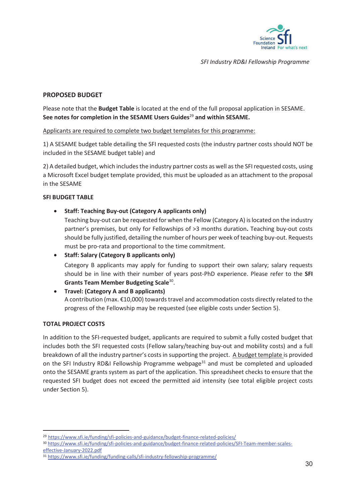

#### **PROPOSED BUDGET**

Please note that the **Budget Table** is located at the end of the full proposal application in SESAME. **See notes for completion in the SESAME Users Guides**<sup>29</sup> **and within SESAME.**

#### Applicants are required to complete two budget templates for this programme:

1) A SESAME budget table detailing the SFI requested costs (the industry partner costs should NOT be included in the SESAME budget table) and

2) A detailed budget, which includes the industry partner costs as well as the SFI requested costs, using a Microsoft Excel budget template provided, this must be uploaded as an attachment to the proposal in the SESAME

#### **SFI BUDGET TABLE**

x **Staff: Teaching Buy-out (Category A applicants only)** 

Teaching buy-out can be requested for when the Fellow (Category A) is located on the industry partner's premises, but only for Fellowships of >3 months duration**.** Teaching buy-out costs should be fully justified, detailing the number of hours per week of teaching buy-out. Requests must be pro-rata and proportional to the time commitment.

x **Staff: Salary (Category B applicants only)**  Category B applicants may apply for funding to support their own salary; salary requests should be in line with their number of years post-PhD experience. Please refer to the **SFI Grants Team Member Budgeting Scale**30.

#### x **Travel: (Category A and B applicants)**  A contribution (max. €10,000) towards travel and accommodation costs directly related to the progress of the Fellowship may be requested (see eligible costs under Section 5).

#### **TOTAL PROJECT COSTS**

In addition to the SFI-requested budget, applicants are required to submit a fully costed budget that includes both the SFI requested costs (Fellow salary/teaching buy-out and mobility costs) and a full breakdown of all the industry partner's costs in supporting the project. A budget template is provided on the SFI Industry RD&I Fellowship Programme webpage<sup>31</sup> and must be completed and uploaded onto the SESAME grants system as part of the application. This spreadsheet checks to ensure that the requested SFI budget does not exceed the permitted aid intensity (see total eligible project costs under Section 5).

<sup>&</sup>lt;sup>29</sup> https://www.sfi.ie/funding/sfi-policies-and-guidance/budget-finance-related-policies/<br><sup>30</sup> https://www.sfi.ie/funding/sfi-policies-and-guidance/budget-finance-related-policies/SFI-Team-member-scaleseffective-January-2022.pdf

<sup>31</sup> https://www.sfi.ie/funding/funding-calls/sfi-industry-fellowship-programme/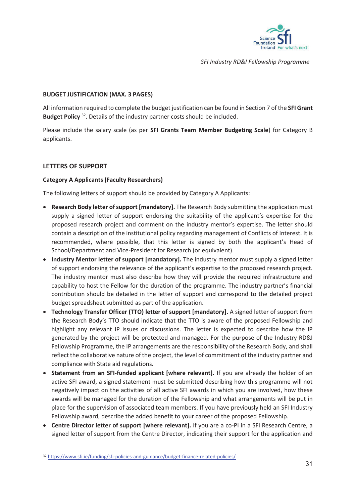

#### **BUDGET JUSTIFICATION (MAX. 3 PAGES)**

All information required to complete the budget justification can be found in Section 7 of the **SFI Grant Budget Policy** 32. Details of the industry partner costs should be included.

Please include the salary scale (as per **SFI Grants Team Member Budgeting Scale**) for Category B applicants.

#### **LETTERS OF SUPPORT**

#### **Category A Applicants (Faculty Researchers)**

The following letters of support should be provided by Category A Applicants:

- **Research Body letter of support [mandatory].** The Research Body submitting the application must supply a signed letter of support endorsing the suitability of the applicant's expertise for the proposed research project and comment on the industry mentor's expertise. The letter should contain a description of the institutional policy regarding management of Conflicts of Interest. It is recommended, where possible, that this letter is signed by both the applicant's Head of School/Department and Vice-President for Research (or equivalent).
- **Industry Mentor letter of support [mandatory].** The industry mentor must supply a signed letter of support endorsing the relevance of the applicant's expertise to the proposed research project. The industry mentor must also describe how they will provide the required infrastructure and capability to host the Fellow for the duration of the programme. The industry partner's financial contribution should be detailed in the letter of support and correspond to the detailed project budget spreadsheet submitted as part of the application**.**
- **Technology Transfer Officer (TTO) letter of support [mandatory].** A signed letter of support from the Research Body's TTO should indicate that the TTO is aware of the proposed Fellowship and highlight any relevant IP issues or discussions. The letter is expected to describe how the IP generated by the project will be protected and managed. For the purpose of the Industry RD&I Fellowship Programme, the IP arrangements are the responsibility of the Research Body, and shall reflect the collaborative nature of the project, the level of commitment of the industry partner and compliance with State aid regulations.
- **Statement from an SFI-funded applicant [where relevant].** If you are already the holder of an active SFI award, a signed statement must be submitted describing how this programme will not negatively impact on the activities of all active SFI awards in which you are involved, how these awards will be managed for the duration of the Fellowship and what arrangements will be put in place for the supervision of associated team members. If you have previously held an SFI Industry Fellowship award, describe the added benefit to your career of the proposed Fellowship.
- **Centre Director letter of support [where relevant].** If you are a co-PI in a SFI Research Centre, a signed letter of support from the Centre Director, indicating their support for the application and

<sup>32</sup> https://www.sfi.ie/funding/sfi-policies-and-guidance/budget-finance-related-policies/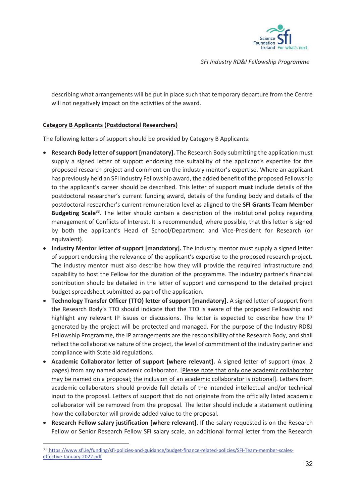

describing what arrangements will be put in place such that temporary departure from the Centre will not negatively impact on the activities of the award.

#### **Category B Applicants (Postdoctoral Researchers)**

The following letters of support should be provided by Category B Applicants:

- x **Research Body letter of support [mandatory].** The Research Body submitting the application must supply a signed letter of support endorsing the suitability of the applicant's expertise for the proposed research project and comment on the industry mentor's expertise. Where an applicant has previously held an SFI Industry Fellowship award, the added benefit of the proposed Fellowship to the applicant's career should be described. This letter of support **must** include details of the postdoctoral researcher's current funding award, details of the funding body and details of the postdoctoral researcher's current remuneration level as aligned to the **SFI Grants Team Member Budgeting Scale**33. The letter should contain a description of the institutional policy regarding management of Conflicts of Interest. It is recommended, where possible, that this letter is signed by both the applicant's Head of School/Department and Vice-President for Research (or equivalent).
- **Industry Mentor letter of support [mandatory].** The industry mentor must supply a signed letter of support endorsing the relevance of the applicant's expertise to the proposed research project. The industry mentor must also describe how they will provide the required infrastructure and capability to host the Fellow for the duration of the programme. The industry partner's financial contribution should be detailed in the letter of support and correspond to the detailed project budget spreadsheet submitted as part of the application.
- **Technology Transfer Officer (TTO) letter of support [mandatory].** A signed letter of support from the Research Body's TTO should indicate that the TTO is aware of the proposed Fellowship and highlight any relevant IP issues or discussions. The letter is expected to describe how the IP generated by the project will be protected and managed. For the purpose of the Industry RD&I Fellowship Programme, the IP arrangements are the responsibility of the Research Body, and shall reflect the collaborative nature of the project, the level of commitment of the industry partner and compliance with State aid regulations.
- x **Academic Collaborator letter of support [where relevant].** A signed letter of support (max. 2 pages) from any named academic collaborator. [Please note that only one academic collaborator may be named on a proposal; the inclusion of an academic collaborator is optional]. Letters from academic collaborators should provide full details of the intended intellectual and/or technical input to the proposal. Letters of support that do not originate from the officially listed academic collaborator will be removed from the proposal. The letter should include a statement outlining how the collaborator will provide added value to the proposal.
- **Research Fellow salary justification [where relevant]**. If the salary requested is on the Research Fellow or Senior Research Fellow SFI salary scale, an additional formal letter from the Research

<sup>33</sup> https://www.sfi.ie/funding/sfi-policies-and-guidance/budget-finance-related-policies/SFI-Team-member-scaleseffective-January-2022.pdf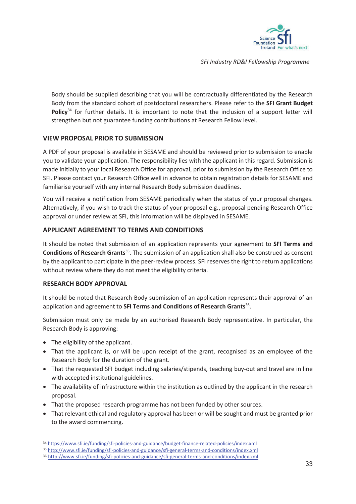

Body should be supplied describing that you will be contractually differentiated by the Research Body from the standard cohort of postdoctoral researchers. Please refer to the **SFI Grant Budget Policy**34 for further details. It is important to note that the inclusion of a support letter will strengthen but not guarantee funding contributions at Research Fellow level.

#### **VIEW PROPOSAL PRIOR TO SUBMISSION**

A PDF of your proposal is available in SESAME and should be reviewed prior to submission to enable you to validate your application. The responsibility lies with the applicant in this regard. Submission is made initially to your local Research Office for approval, prior to submission by the Research Office to SFI. Please contact your Research Office well in advance to obtain registration details for SESAME and familiarise yourself with any internal Research Body submission deadlines.

You will receive a notification from SESAME periodically when the status of your proposal changes. Alternatively, if you wish to track the status of your proposal e.g., proposal pending Research Office approval or under review at SFI, this information will be displayed in SESAME.

#### **APPLICANT AGREEMENT TO TERMS AND CONDITIONS**

It should be noted that submission of an application represents your agreement to **SFI Terms and Conditions of Research Grants**35. The submission of an application shall also be construed as consent by the applicant to participate in the peer-review process. SFI reserves the right to return applications without review where they do not meet the eligibility criteria.

#### **RESEARCH BODY APPROVAL**

It should be noted that Research Body submission of an application represents their approval of an application and agreement to **SFI Terms and Conditions of Research Grants**36.

Submission must only be made by an authorised Research Body representative. In particular, the Research Body is approving:

- $\bullet$  The eligibility of the applicant.
- That the applicant is, or will be upon receipt of the grant, recognised as an employee of the Research Body for the duration of the grant.
- That the requested SFI budget including salaries/stipends, teaching buy-out and travel are in line with accepted institutional guidelines.
- The availability of infrastructure within the institution as outlined by the applicant in the research proposal.
- That the proposed research programme has not been funded by other sources.
- That relevant ethical and regulatory approval has been or will be sought and must be granted prior to the award commencing.

<sup>34</sup> https://www.sfi.ie/funding/sfi-policies-and-guidance/budget-finance-related-policies/index.xml

<sup>35</sup> http://www.sfi.ie/funding/sfi-policies-and-guidance/sfi-general-terms-and-conditions/index.xml 36 http://www.sfi.ie/funding/sfi-policies-and-guidance/sfi-general-terms-and-conditions/index.xml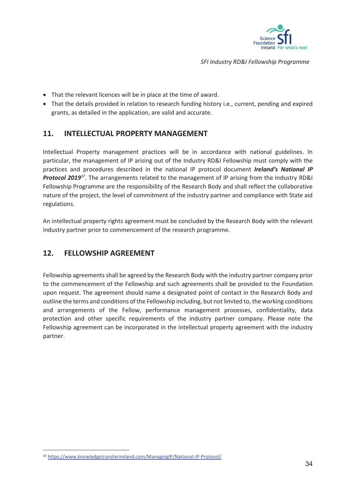

- That the relevant licences will be in place at the time of award.
- That the details provided in relation to research funding history i.e., current, pending and expired grants, as detailed in the application, are valid and accurate.

# **11. INTELLECTUAL PROPERTY MANAGEMENT**

Intellectual Property management practices will be in accordance with national guidelines. In particular, the management of IP arising out of the Industry RD&I Fellowship must comply with the practices and procedures described in the national IP protocol document *Ireland's National IP Protocol 2019<sup>37</sup>*. The arrangements related to the management of IP arising from the Industry RD&I Fellowship Programme are the responsibility of the Research Body and shall reflect the collaborative nature of the project, the level of commitment of the industry partner and compliance with State aid regulations.

An intellectual property rights agreement must be concluded by the Research Body with the relevant industry partner prior to commencement of the research programme.

# **12. FELLOWSHIP AGREEMENT**

Fellowship agreements shall be agreed by the Research Body with the industry partner company prior to the commencement of the Fellowship and such agreements shall be provided to the Foundation upon request. The agreement should name a designated point of contact in the Research Body and outline the terms and conditions of the Fellowship including, but not limited to, the working conditions and arrangements of the Fellow, performance management processes, confidentiality, data protection and other specific requirements of the industry partner company. Please note the Fellowship agreement can be incorporated in the intellectual property agreement with the industry partner.

<sup>37</sup> https://www.knowledgetransferireland.com/ManagingIP/National-IP-Protocol/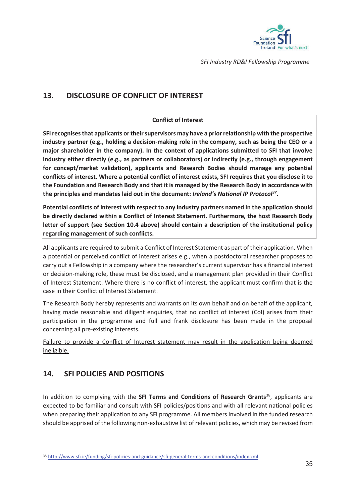

# **13. DISCLOSURE OF CONFLICT OF INTEREST**

#### **Conflict of Interest**

**SFI recognises that applicants or their supervisors may have a prior relationship with the prospective industry partner (e.g., holding a decision-making role in the company, such as being the CEO or a major shareholder in the company). In the context of applications submitted to SFI that involve industry either directly (e.g., as partners or collaborators) or indirectly (e.g., through engagement for concept/market validation), applicants and Research Bodies should manage any potential conflicts of interest. Where a potential conflict of interest exists, SFI requires that you disclose it to the Foundation and Research Body and that it is managed by the Research Body in accordance with the principles and mandates laid out in the document:** *Ireland's National IP Protocol37***.**

**Potential conflicts of interest with respect to any industry partners named in the application should be directly declared within a Conflict of Interest Statement. Furthermore, the host Research Body letter of support (see Section 10.4 above) should contain a description of the institutional policy regarding management of such conflicts.** 

All applicants are required to submit a Conflict of Interest Statement as part of their application. When a potential or perceived conflict of interest arises e.g., when a postdoctoral researcher proposes to carry out a Fellowship in a company where the researcher's current supervisor has a financial interest or decision-making role, these must be disclosed, and a management plan provided in their Conflict of Interest Statement. Where there is no conflict of interest, the applicant must confirm that is the case in their Conflict of Interest Statement.

The Research Body hereby represents and warrants on its own behalf and on behalf of the applicant, having made reasonable and diligent enquiries, that no conflict of interest (CoI) arises from their participation in the programme and full and frank disclosure has been made in the proposal concerning all pre-existing interests.

Failure to provide a Conflict of Interest statement may result in the application being deemed ineligible.

# **14. SFI POLICIES AND POSITIONS**

In addition to complying with the **SFI Terms and Conditions of Research Grants**38, applicants are expected to be familiar and consult with SFI policies/positions and with all relevant national policies when preparing their application to any SFI programme. All members involved in the funded research should be apprised of the following non-exhaustive list of relevant policies, which may be revised from

<sup>38</sup> http://www.sfi.ie/funding/sfi-policies-and-guidance/sfi-general-terms-and-conditions/index.xml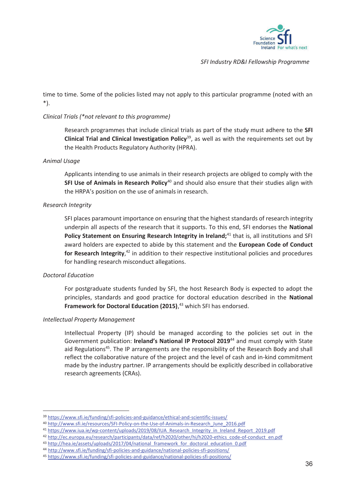

time to time. Some of the policies listed may not apply to this particular programme (noted with an \*).

#### *Clinical Trials (\*not relevant to this programme)*

Research programmes that include clinical trials as part of the study must adhere to the **SFI Clinical Trial and Clinical Investigation Policy**39, as well as with the requirements set out by the Health Products Regulatory Authority (HPRA).

#### *Animal Usage*

Applicants intending to use animals in their research projects are obliged to comply with the **SFI Use of Animals in Research Policy**<sup>40</sup> and should also ensure that their studies align with the HRPA's position on the use of animals in research.

#### *Research Integrity*

SFI places paramount importance on ensuring that the highest standards of research integrity underpin all aspects of the research that it supports. To this end, SFI endorses the **National Policy Statement on Ensuring Research Integrity in Ireland;**<sup>41</sup> that is, all institutions and SFI award holders are expected to abide by this statement and the **European Code of Conduct**  for Research Integrity,<sup>42</sup> in addition to their respective institutional policies and procedures for handling research misconduct allegations.

#### *Doctoral Education*

For postgraduate students funded by SFI, the host Research Body is expected to adopt the principles, standards and good practice for doctoral education described in the **National Framework for Doctoral Education (2015)**, 43 which SFI has endorsed.

#### *Intellectual Property Management*

Intellectual Property (IP) should be managed according to the policies set out in the Government publication: **Ireland's National IP Protocol 2019**44 and must comply with State aid Regulations<sup>45</sup>. The IP arrangements are the responsibility of the Research Body and shall reflect the collaborative nature of the project and the level of cash and in-kind commitment made by the industry partner. IP arrangements should be explicitly described in collaborative research agreements (CRAs).

<sup>39</sup> https://www.sfi.ie/funding/sfi-policies-and-guidance/ethical-and-scientific-issues/<br>40 http://www.sfi.ie/resources/SFI-Policy-on-the-Use-of-Animals-in-Research\_June\_2016.pdf

<sup>41</sup> https://www.iua.ie/wp-content/uploads/2019/08/IUA\_Research\_Integrity\_in\_Ireland\_Report\_2019.pdf

<sup>&</sup>lt;sup>42</sup> http://ec.europa.eu/research/participants/data/ref/h2020/other/hi/h2020-ethics\_code-of-conduct\_en.pdf<br><sup>43</sup> http://hea.ie/assets/uploads/2017/04/national\_framework\_for\_doctoral\_education\_0.pdf<br><sup>44</sup> http://www.sfi.ie/fu

<sup>45</sup> https://www.sfi.ie/funding/sfi-policies-and-guidance/national-policies-sfi-positions/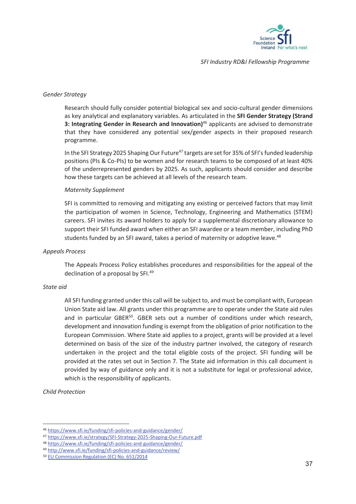

#### *Gender Strategy*

Research should fully consider potential biological sex and socio-cultural gender dimensions as key analytical and explanatory variables. As articulated in the **SFI Gender Strategy (Strand 3: Integrating Gender in Research and Innovation)**46 applicants are advised to demonstrate that they have considered any potential sex/gender aspects in their proposed research programme.

In the SFI Strategy 2025 Shaping Our Future<sup>47</sup> targets are set for 35% of SFI's funded leadership positions (PIs & Co-PIs) to be women and for research teams to be composed of at least 40% of the underrepresented genders by 2025. As such, applicants should consider and describe how these targets can be achieved at all levels of the research team.

#### *Maternity Supplement*

SFI is committed to removing and mitigating any existing or perceived factors that may limit the participation of women in Science, Technology, Engineering and Mathematics (STEM) careers. SFI invites its award holders to apply for a supplemental discretionary allowance to support their SFI funded award when either an SFI awardee or a team member, including PhD students funded by an SFI award, takes a period of maternity or adoptive leave.<sup>48</sup>

#### *Appeals Process*

The Appeals Process Policy establishes procedures and responsibilities for the appeal of the declination of a proposal by SFI.<sup>49</sup>

#### *State aid*

All SFI funding granted under this call will be subject to, and must be compliant with, European Union State aid law. All grants under this programme are to operate under the State aid rules and in particular GBER $50$ . GBER sets out a number of conditions under which research, development and innovation funding is exempt from the obligation of prior notification to the European Commission. Where State aid applies to a project, grants will be provided at a level determined on basis of the size of the industry partner involved, the category of research undertaken in the project and the total eligible costs of the project. SFI funding will be provided at the rates set out in Section 7. The State aid information in this call document is provided by way of guidance only and it is not a substitute for legal or professional advice, which is the responsibility of applicants.

*Child Protection* 

<sup>46</sup> https://www.sfi.ie/funding/sfi-policies-and-guidance/gender/<br>47 https://www.sfi.ie/strategy/SFI-Strategy-2025-Shaping-Our-Future.pdf

<sup>48</sup> https://www.sfi.ie/funding/sfi-policies-and-guidance/gender/

<sup>49</sup> http://www.sfi.ie/funding/sfi-policies-and-guidance/review/<br>50 EU Commission Regulation (EC) No. 651/2014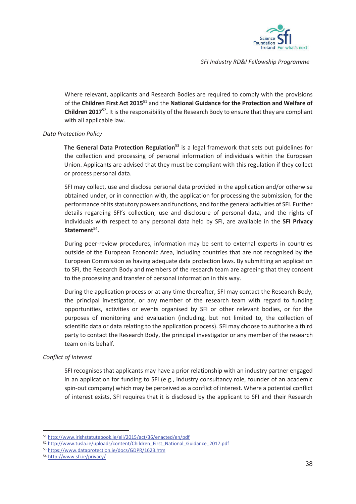

Where relevant, applicants and Research Bodies are required to comply with the provisions of the **Children First Act 2015**51 and the **National Guidance for the Protection and Welfare of Children 2017**<sup>52</sup>**.** It is the responsibility of the Research Body to ensure that they are compliant with all applicable law.

#### *Data Protection Policy*

**The General Data Protection Regulation**53 is a legal framework that sets out guidelines for the collection and processing of personal information of individuals within the European Union. Applicants are advised that they must be compliant with this regulation if they collect or process personal data.

SFI may collect, use and disclose personal data provided in the application and/or otherwise obtained under, or in connection with, the application for processing the submission, for the performance of its statutory powers and functions, and for the general activities of SFI. Further details regarding SFI's collection, use and disclosure of personal data, and the rights of individuals with respect to any personal data held by SFI, are available in the **SFI Privacy Statement**<sup>54</sup>**.**

During peer-review procedures, information may be sent to external experts in countries outside of the European Economic Area, including countries that are not recognised by the European Commission as having adequate data protection laws. By submitting an application to SFI, the Research Body and members of the research team are agreeing that they consent to the processing and transfer of personal information in this way.

During the application process or at any time thereafter, SFI may contact the Research Body, the principal investigator, or any member of the research team with regard to funding opportunities, activities or events organised by SFI or other relevant bodies, or for the purposes of monitoring and evaluation (including, but not limited to, the collection of scientific data or data relating to the application process). SFI may choose to authorise a third party to contact the Research Body, the principal investigator or any member of the research team on its behalf.

#### *Conflict of Interest*

SFI recognises that applicants may have a prior relationship with an industry partner engaged in an application for funding to SFI (e.g., industry consultancy role, founder of an academic spin-out company) which may be perceived as a conflict of interest. Where a potential conflict of interest exists, SFI requires that it is disclosed by the applicant to SFI and their Research

<sup>51</sup> http://www.irishstatutebook.ie/eli/2015/act/36/enacted/en/pdf

<sup>52</sup> http://www.tusla.ie/uploads/content/Children\_First\_National\_Guidance\_2017.pdf<br>53 https://www.dataprotection.ie/docs/GDPR/1623.htm 54 http://www.sfi.ie/privacy/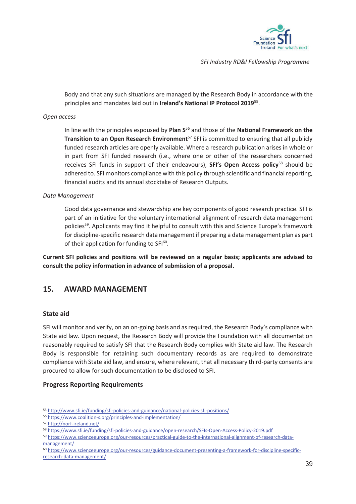

Body and that any such situations are managed by the Research Body in accordance with the principles and mandates laid out in **Ireland's National IP Protocol 2019**55.

#### *Open access*

In line with the principles espoused by **Plan S**56 and those of the **National Framework on the Transition to an Open Research Environment**<sup>57</sup> SFI is committed to ensuring that all publicly funded research articles are openly available. Where a research publication arises in whole or in part from SFI funded research (i.e., where one or other of the researchers concerned receives SFI funds in support of their endeavours), **SFI's Open Access policy**58 should be adhered to. SFI monitors compliance with this policy through scientific and financial reporting, financial audits and its annual stocktake of Research Outputs.

#### *Data Management*

Good data governance and stewardship are key components of good research practice. SFI is part of an initiative for the voluntary international alignment of research data management policies59. Applicants may find it helpful to consult with this and Science Europe's framework for discipline-specific research data management if preparing a data management plan as part of their application for funding to SFI<sup>60</sup>.

**Current SFI policies and positions will be reviewed on a regular basis; applicants are advised to consult the policy information in advance of submission of a proposal.** 

# **15. AWARD MANAGEMENT**

#### **State aid**

SFI will monitor and verify, on an on-going basis and as required, the Research Body's compliance with State aid law. Upon request, the Research Body will provide the Foundation with all documentation reasonably required to satisfy SFI that the Research Body complies with State aid law. The Research Body is responsible for retaining such documentary records as are required to demonstrate compliance with State aid law, and ensure, where relevant, that all necessary third-party consents are procured to allow for such documentation to be disclosed to SFI.

#### **Progress Reporting Requirements**

<sup>55</sup> http://www.sfi.ie/funding/sfi-policies-and-guidance/national-policies-sfi-positions/ 56 https://www.coalition-s.org/principles-and-implementation/

<sup>57</sup> http://norf-ireland.net/

<sup>58</sup> https://www.sfi.ie/funding/sfi-policies-and-guidance/open-research/SFIs-Open-Access-Policy-2019.pdf

<sup>59</sup> https://www.scienceeurope.org/our-resources/practical-guide-to-the-international-alignment-of-research-datamanagement/

<sup>60</sup> https://www.scienceeurope.org/our-resources/guidance-document-presenting-a-framework-for-discipline-specificresearch-data-management/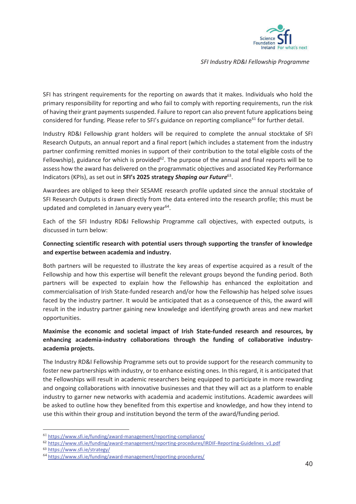

SFI has stringent requirements for the reporting on awards that it makes. Individuals who hold the primary responsibility for reporting and who fail to comply with reporting requirements, run the risk of having their grant payments suspended. Failure to report can also prevent future applications being considered for funding. Please refer to SFI's guidance on reporting compliance<sup>61</sup> for further detail.

Industry RD&I Fellowship grant holders will be required to complete the annual stocktake of SFI Research Outputs, an annual report and a final report (which includes a statement from the industry partner confirming remitted monies in support of their contribution to the total eligible costs of the Fellowship), guidance for which is provided<sup>62</sup>. The purpose of the annual and final reports will be to assess how the award has delivered on the programmatic objectives and associated Key Performance Indicators (KPIs), as set out in **SFI's 2025 strategy** *Shaping our Future*63.

Awardees are obliged to keep their SESAME research profile updated since the annual stocktake of SFI Research Outputs is drawn directly from the data entered into the research profile; this must be updated and completed in January every year<sup>64</sup>.

Each of the SFI Industry RD&I Fellowship Programme call objectives, with expected outputs, is discussed in turn below:

#### **Connecting scientific research with potential users through supporting the transfer of knowledge and expertise between academia and industry.**

Both partners will be requested to illustrate the key areas of expertise acquired as a result of the Fellowship and how this expertise will benefit the relevant groups beyond the funding period. Both partners will be expected to explain how the Fellowship has enhanced the exploitation and commercialisation of Irish State-funded research and/or how the Fellowship has helped solve issues faced by the industry partner. It would be anticipated that as a consequence of this, the award will result in the industry partner gaining new knowledge and identifying growth areas and new market opportunities.

### **Maximise the economic and societal impact of Irish State-funded research and resources, by enhancing academia-industry collaborations through the funding of collaborative industryacademia projects.**

The Industry RD&I Fellowship Programme sets out to provide support for the research community to foster new partnerships with industry, or to enhance existing ones. In this regard, it is anticipated that the Fellowships will result in academic researchers being equipped to participate in more rewarding and ongoing collaborations with innovative businesses and that they will act as a platform to enable industry to garner new networks with academia and academic institutions. Academic awardees will be asked to outline how they benefited from this expertise and knowledge, and how they intend to use this within their group and institution beyond the term of the award/funding period.

<sup>61</sup> https://www.sfi.ie/funding/award-management/reporting-compliance/<br><sup>62</sup> https://www.sfi.ie/funding/award-management/reporting-procedures/IRDIF-Reporting-Guidelines\_v1.pdf<br><sup>63</sup> https://www.sfi.ie/strategy/

<sup>64</sup> https://www.sfi.ie/funding/award-management/reporting-procedures/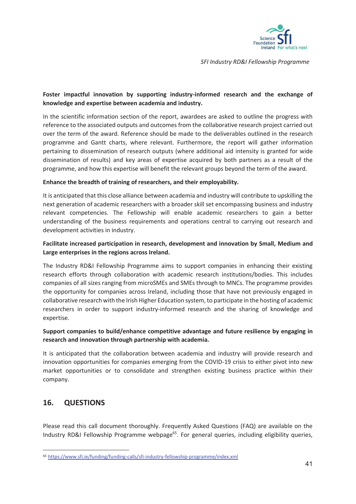

### **Foster impactful innovation by supporting industry-informed research and the exchange of knowledge and expertise between academia and industry.**

In the scientific information section of the report, awardees are asked to outline the progress with reference to the associated outputs and outcomes from the collaborative research project carried out over the term of the award. Reference should be made to the deliverables outlined in the research programme and Gantt charts, where relevant. Furthermore, the report will gather information pertaining to dissemination of research outputs (where additional aid intensity is granted for wide dissemination of results) and key areas of expertise acquired by both partners as a result of the programme, and how this expertise will benefit the relevant groups beyond the term of the award.

#### **Enhance the breadth of training of researchers, and their employability.**

It is anticipated that this close alliance between academia and industry will contribute to upskilling the next generation of academic researchers with a broader skill set encompassing business and industry relevant competencies. The Fellowship will enable academic researchers to gain a better understanding of the business requirements and operations central to carrying out research and development activities in industry.

#### **Facilitate increased participation in research, development and innovation by Small, Medium and Large enterprises in the regions across Ireland.**

The Industry RD&I Fellowship Programme aims to support companies in enhancing their existing research efforts through collaboration with academic research institutions/bodies. This includes companies of all sizes ranging from microSMEs and SMEs through to MNCs. The programme provides the opportunity for companies across Ireland, including those that have not previously engaged in collaborative research with the Irish Higher Education system, to participate in the hosting of academic researchers in order to support industry-informed research and the sharing of knowledge and expertise.

#### **Support companies to build/enhance competitive advantage and future resilience by engaging in research and innovation through partnership with academia.**

It is anticipated that the collaboration between academia and industry will provide research and innovation opportunities for companies emerging from the COVID-19 crisis to either pivot into new market opportunities or to consolidate and strengthen existing business practice within their company.

# **16. QUESTIONS**

Please read this call document thoroughly. Frequently Asked Questions (FAQ) are available on the Industry RD&I Fellowship Programme webpage<sup>65</sup>. For general queries, including eligibility queries,

<sup>65</sup> https://www.sfi.ie/funding/funding-calls/sfi-industry-fellowship-programme/index.xml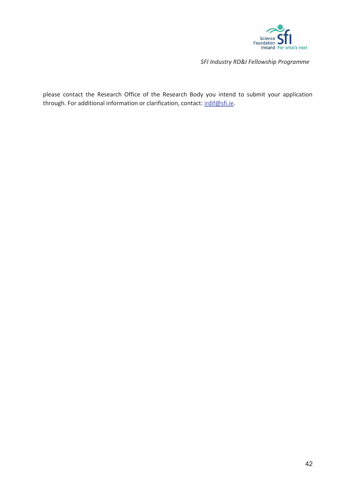

please contact the Research Office of the Research Body you intend to submit your application through. For additional information or clarification, contact: irdif@sfi.ie.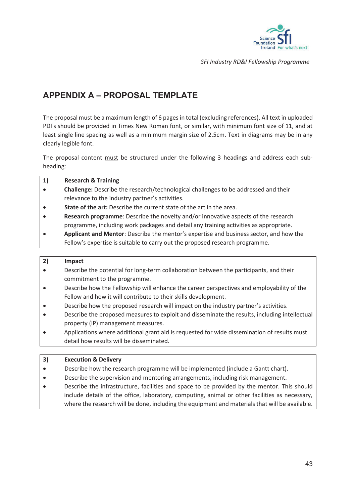

# **APPENDIX A – PROPOSAL TEMPLATE**

The proposal must be a maximum length of 6 pages in total (excluding references). All text in uploaded PDFs should be provided in Times New Roman font, or similar, with minimum font size of 11, and at least single line spacing as well as a minimum margin size of 2.5cm. Text in diagrams may be in any clearly legible font.

The proposal content must be structured under the following 3 headings and address each subheading:

| <b>Research &amp; Training</b>                                                             |
|--------------------------------------------------------------------------------------------|
| <b>Challenge:</b> Describe the research/technological challenges to be addressed and their |
| relevance to the industry partner's activities.                                            |
| <b>State of the art:</b> Describe the current state of the art in the area.                |
| <b>Research programme:</b> Describe the novelty and/or innovative aspects of the research  |
| programme, including work packages and detail any training activities as appropriate.      |
|                                                                                            |

x **Applicant and Mentor**: Describe the mentor's expertise and business sector, and how the Fellow's expertise is suitable to carry out the proposed research programme.

#### **2) Impact**

- Describe the potential for long-term collaboration between the participants, and their commitment to the programme.
- Describe how the Fellowship will enhance the career perspectives and employability of the Fellow and how it will contribute to their skills development.
- Describe how the proposed research will impact on the industry partner's activities.
- Describe the proposed measures to exploit and disseminate the results, including intellectual property (IP) management measures.
- x Applications where additional grant aid is requested for wide dissemination of results must detail how results will be disseminated.

#### **3) Execution & Delivery**

- Describe how the research programme will be implemented (include a Gantt chart).
- **•** Describe the supervision and mentoring arrangements, including risk management.
- Describe the infrastructure, facilities and space to be provided by the mentor. This should include details of the office, laboratory, computing, animal or other facilities as necessary, where the research will be done, including the equipment and materials that will be available.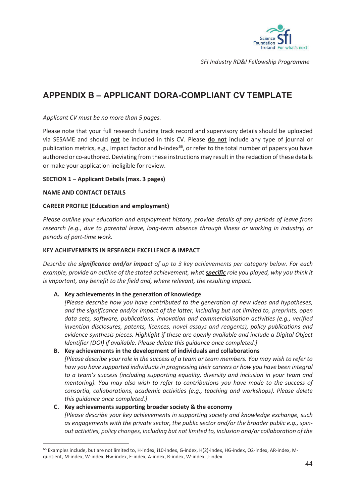

# **APPENDIX B – APPLICANT DORA-COMPLIANT CV TEMPLATE**

#### *Applicant CV must be no more than 5 pages.*

Please note that your full research funding track record and supervisory details should be uploaded via SESAME and should **not** be included in this CV. Please **do not** include any type of journal or publication metrics, e.g., impact factor and h-index<sup>66</sup>, or refer to the total number of papers you have authored or co-authored. Deviating from these instructions may result in the redaction of these details or make your application ineligible for review.

#### **SECTION 1 – Applicant Details (max. 3 pages)**

#### **NAME AND CONTACT DETAILS**

#### **CAREER PROFILE (Education and employment)**

*Please outline your education and employment history, provide details of any periods of leave from research (e.g., due to parental leave, long-term absence through illness or working in industry) or periods of part-time work.* 

#### **KEY ACHIEVEMENTS IN RESEARCH EXCELLENCE & IMPACT**

*Describe the significance and/or impact of up to 3 key achievements per category below. For each example, provide an outline of the stated achievement, what specific role you played, why you think it is important, any benefit to the field and, where relevant, the resulting impact.* 

#### **A. Key achievements in the generation of knowledge**

*[Please describe how you have contributed to the generation of new ideas and hypotheses, and the significance and/or impact of the latter, including but not limited to, preprints, open data sets, software, publications, innovation and commercialisation activities (e.g., verified invention disclosures, patents, licences, novel assays and reagents), policy publications and evidence synthesis pieces. Highlight if these are openly available and include a Digital Object Identifier (DOI) if available. Please delete this guidance once completed.]* 

**B. Key achievements in the development of individuals and collaborations** *[Please describe your role in the success of a team or team members. You may wish to refer to how you have supported individuals in progressing their careers or how you have been integral to a team's success (including supporting equality, diversity and inclusion in your team and mentoring). You may also wish to refer to contributions you have made to the success of consortia, collaborations, academic activities (e.g., teaching and workshops). Please delete this guidance once completed.]* 

#### **C. Key achievements supporting broader society & the economy**  *[Please describe your key achievements in supporting society and knowledge exchange, such as engagements with the private sector, the public sector and/or the broader public e.g., spinout activities, policy changes, including but not limited to, inclusion and/or collaboration of the*

<sup>66</sup> Examples include, but are not limited to, H-index, i10-index, G-index, H(2)-index, HG-index, Q2-index, AR-index, Mquotient, M-index, W-index, Hw-index, E-index, A-index, R-index, W-index, J-index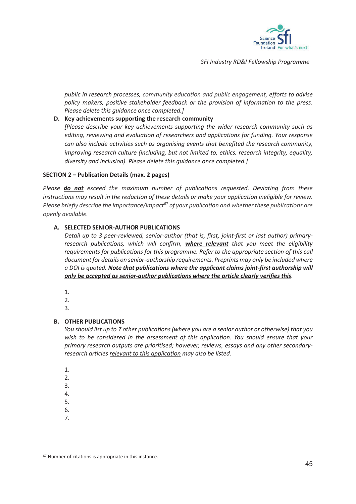

*public in research processes, community education and public engagement, efforts to advise policy makers, positive stakeholder feedback or the provision of information to the press. Please delete this guidance once completed.]* 

**D. Key achievements supporting the research community** 

*[Please describe your key achievements supporting the wider research community such as editing, reviewing and evaluation of researchers and applications for funding. Your response can also include activities such as organising events that benefited the research community, improving research culture (including, but not limited to, ethics, research integrity, equality, diversity and inclusion). Please delete this guidance once completed.]* 

#### **SECTION 2 – Publication Details (max. 2 pages)**

*Please do not exceed the maximum number of publications requested. Deviating from these instructions may result in the redaction of these details or make your application ineligible for review. Please briefly describe the importance/impact<sup>67</sup> of your publication and whether these publications are openly available.* 

#### **A. SELECTED SENIOR-AUTHOR PUBLICATIONS**

*Detail up to 3 peer-reviewed, senior-author (that is, first, joint-first or last author) primaryresearch publications, which will confirm, where relevant that you meet the eligibility requirements for publications for this programme. Refer to the appropriate section of this call document for details on senior-authorship requirements. Preprints may only be included where a DOI is quoted. Note that publications where the applicant claims joint-first authorship will only be accepted as senior-author publications where the article clearly verifies this.* 

- 1.
- 2.
- 3.

#### **B. OTHER PUBLICATIONS**

*You should list up to 7 other publications (where you are a senior author or otherwise) that you wish to be considered in the assessment of this application. You should ensure that your primary research outputs are prioritised; however, reviews, essays and any other secondaryresearch articles relevant to this application may also be listed.* 

- 1.
- 2.
- 3.
- 4. 5.
- 6.
- 7.

<sup>67</sup> Number of citations is appropriate in this instance.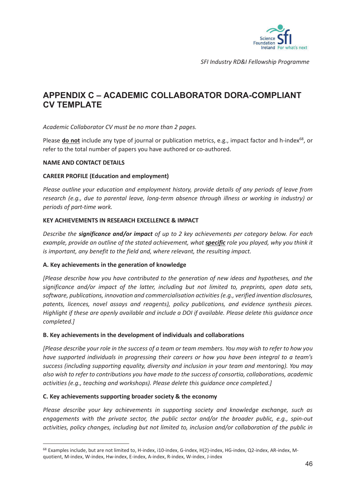

# **APPENDIX C – ACADEMIC COLLABORATOR DORA-COMPLIANT CV TEMPLATE**

*Academic Collaborator CV must be no more than 2 pages.* 

Please **do not** include any type of journal or publication metrics, e.g., impact factor and h-index<sup>68</sup>, or refer to the total number of papers you have authored or co-authored.

#### **NAME AND CONTACT DETAILS**

#### **CAREER PROFILE (Education and employment)**

*Please outline your education and employment history, provide details of any periods of leave from research (e.g., due to parental leave, long-term absence through illness or working in industry) or periods of part-time work.* 

#### **KEY ACHIEVEMENTS IN RESEARCH EXCELLENCE & IMPACT**

*Describe the significance and/or impact of up to 2 key achievements per category below. For each example, provide an outline of the stated achievement, what specific role you played, why you think it is important, any benefit to the field and, where relevant, the resulting impact.* 

#### **A. Key achievements in the generation of knowledge**

*[Please describe how you have contributed to the generation of new ideas and hypotheses, and the significance and/or impact of the latter, including but not limited to, preprints, open data sets, software, publications, innovation and commercialisation activities (e.g., verified invention disclosures, patents, licences, novel assays and reagents), policy publications, and evidence synthesis pieces. Highlight if these are openly available and include a DOI if available. Please delete this guidance once completed.]* 

#### **B. Key achievements in the development of individuals and collaborations**

*[Please describe your role in the success of a team or team members. You may wish to refer to how you have supported individuals in progressing their careers or how you have been integral to a team's success (including supporting equality, diversity and inclusion in your team and mentoring). You may also wish to refer to contributions you have made to the success of consortia, collaborations, academic activities (e.g., teaching and workshops). Please delete this guidance once completed.]* 

#### **C. Key achievements supporting broader society & the economy**

*Please describe your key achievements in supporting society and knowledge exchange, such as engagements with the private sector, the public sector and/or the broader public, e.g., spin-out activities, policy changes, including but not limited to, inclusion and/or collaboration of the public in* 

<sup>68</sup> Examples include, but are not limited to, H-index, i10-index, G-index, H(2)-index, HG-index, Q2-index, AR-index, Mquotient, M-index, W-index, Hw-index, E-index, A-index, R-index, W-index, J-index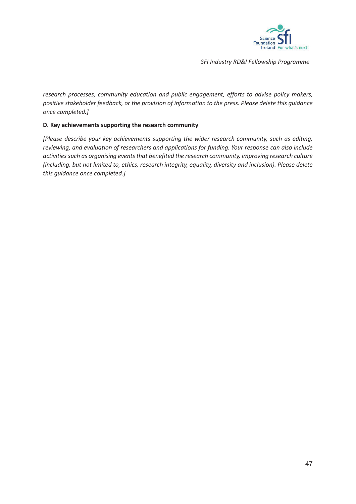

*research processes, community education and public engagement, efforts to advise policy makers, positive stakeholder feedback, or the provision of information to the press. Please delete this guidance once completed.]* 

#### **D. Key achievements supporting the research community**

*[Please describe your key achievements supporting the wider research community, such as editing, reviewing, and evaluation of researchers and applications for funding. Your response can also include activities such as organising events that benefited the research community, improving research culture (including, but not limited to, ethics, research integrity, equality, diversity and inclusion). Please delete this guidance once completed.]*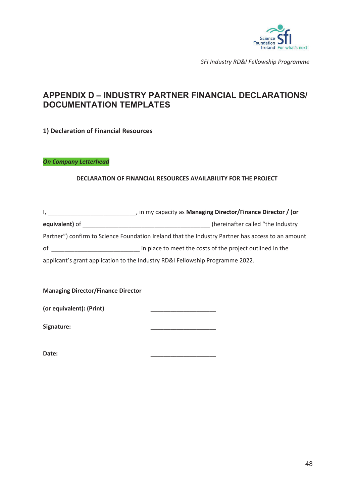

# **APPENDIX D – INDUSTRY PARTNER FINANCIAL DECLARATIONS/ DOCUMENTATION TEMPLATES**

**1) Declaration of Financial Resources** 

*On Company Letterhead* 

#### **DECLARATION OF FINANCIAL RESOURCES AVAILABILITY FOR THE PROJECT**

|                | , in my capacity as Managing Director/Finance Director / (or                                      |  |
|----------------|---------------------------------------------------------------------------------------------------|--|
| equivalent) of | (hereinafter called "the Industry                                                                 |  |
|                | Partner") confirm to Science Foundation Ireland that the Industry Partner has access to an amount |  |
| of             | in place to meet the costs of the project outlined in the                                         |  |
|                | applicant's grant application to the Industry RD&I Fellowship Programme 2022.                     |  |

**Managing Director/Finance Director** 

**Signature:** \_\_\_\_\_\_\_\_\_\_\_\_\_\_\_\_\_\_\_\_

**Date:** \_\_\_\_\_\_\_\_\_\_\_\_\_\_\_\_\_\_\_\_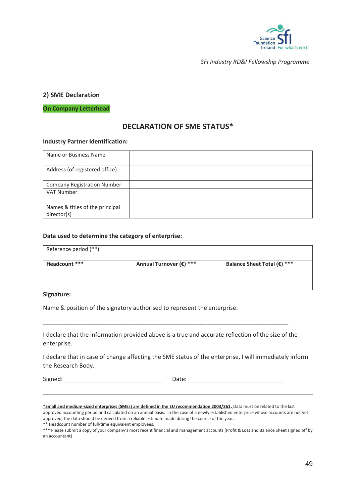

#### **2) SME Declaration**

**On Company Letterhead** 

# **DECLARATION OF SME STATUS\***

#### **Industry Partner Identification:**

| Name or Business Name                          |  |
|------------------------------------------------|--|
| Address (of registered office)                 |  |
| <b>Company Registration Number</b>             |  |
| <b>VAT Number</b>                              |  |
| Names & titles of the principal<br>director(s) |  |

#### **Data used to determine the category of enterprise:**

| Reference period (**): |                         |                             |  |
|------------------------|-------------------------|-----------------------------|--|
| Headcount ***          | Annual Turnover (€) *** | Balance Sheet Total (€) *** |  |
|                        |                         |                             |  |

#### **Signature:**

Name & position of the signatory authorised to represent the enterprise.

I declare that the information provided above is a true and accurate reflection of the size of the enterprise.

\_\_\_\_\_\_\_\_\_\_\_\_\_\_\_\_\_\_\_\_\_\_\_\_\_\_\_\_\_\_\_\_\_\_\_\_\_\_\_\_\_\_\_\_\_\_\_\_\_\_\_\_\_\_\_\_\_\_\_\_\_\_\_\_\_\_\_\_\_\_\_\_\_\_\_

I declare that in case of change affecting the SME status of the enterprise, I will immediately inform the Research Body.

Signed: \_\_\_\_\_\_\_\_\_\_\_\_\_\_\_\_\_\_\_\_\_\_\_\_\_\_\_\_\_\_ Date: \_\_\_\_\_\_\_\_\_\_\_\_\_\_\_\_\_\_\_\_\_\_\_\_\_\_\_\_\_

**\*Small and medium-sized enterprises (SMEs) are defined in the EU recommendation 2003/361**. Data must be related to the last

approved accounting period and calculated on an annual basis. In the case of a newly established enterprise whose accounts are not yet approved, the data should be derived from a reliable estimate made during the course of the year.

\*\* Headcount number of full-time equivalent employees.

\*\*\* Please submit a copy of your company's most recent financial and management accounts (Profit & Loss and Balance Sheet signed off by an accountant)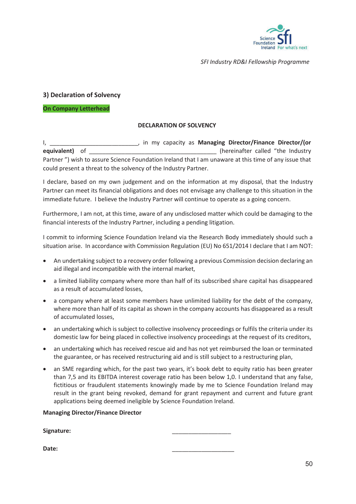

#### **3) Declaration of Solvency**

#### **On Company Letterhead**

#### **DECLARATION OF SOLVENCY**

I, \_\_\_\_\_\_\_\_\_\_\_\_\_\_\_\_\_\_\_\_\_\_\_\_\_\_\_, in my capacity as **Managing Director/Finance Director/(or equivalent)** of \_\_\_\_\_\_\_\_\_\_\_\_\_\_\_\_\_\_\_\_\_\_\_\_\_\_\_\_\_\_\_\_\_\_\_\_\_\_\_ (hereinafter called "the Industry Partner ") wish to assure Science Foundation Ireland that I am unaware at this time of any issue that could present a threat to the solvency of the Industry Partner.

I declare, based on my own judgement and on the information at my disposal, that the Industry Partner can meet its financial obligations and does not envisage any challenge to this situation in the immediate future. I believe the Industry Partner will continue to operate as a going concern.

Furthermore, I am not, at this time, aware of any undisclosed matter which could be damaging to the financial interests of the Industry Partner, including a pending litigation.

I commit to informing Science Foundation Ireland via the Research Body immediately should such a situation arise. In accordance with Commission Regulation (EU) No 651/2014 I declare that I am NOT:

- An undertaking subject to a recovery order following a previous Commission decision declaring an aid illegal and incompatible with the internal market,
- a limited liability company where more than half of its subscribed share capital has disappeared as a result of accumulated losses,
- a company where at least some members have unlimited liability for the debt of the company, where more than half of its capital as shown in the company accounts has disappeared as a result of accumulated losses,
- an undertaking which is subject to collective insolvency proceedings or fulfils the criteria under its domestic law for being placed in collective insolvency proceedings at the request of its creditors,
- an undertaking which has received rescue aid and has not yet reimbursed the loan or terminated the guarantee, or has received restructuring aid and is still subject to a restructuring plan,
- an SME regarding which, for the past two years, it's book debt to equity ratio has been greater than 7,5 and its EBITDA interest coverage ratio has been below 1,0. I understand that any false, fictitious or fraudulent statements knowingly made by me to Science Foundation Ireland may result in the grant being revoked, demand for grant repayment and current and future grant applications being deemed ineligible by Science Foundation Ireland.

#### **Managing Director/Finance Director**

**Signature:** \_\_\_\_\_\_\_\_\_\_\_\_\_\_\_\_\_\_

**Date:** \_\_\_\_\_\_\_\_\_\_\_\_\_\_\_\_\_\_\_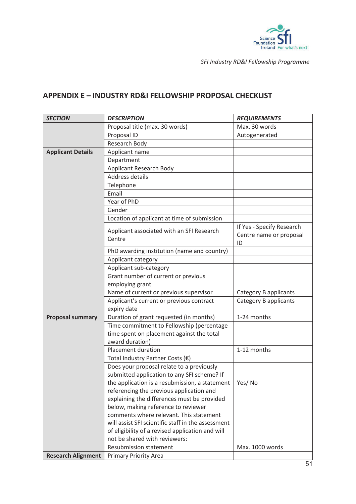

# **APPENDIX E – INDUSTRY RD&I FELLOWSHIP PROPOSAL CHECKLIST**

| <b>SECTION</b>            | <b>DESCRIPTION</b>                                                                                        | <b>REQUIREMENTS</b>                                        |  |
|---------------------------|-----------------------------------------------------------------------------------------------------------|------------------------------------------------------------|--|
|                           | Proposal title (max. 30 words)                                                                            | Max. 30 words                                              |  |
|                           | Proposal ID                                                                                               | Autogenerated                                              |  |
|                           | Research Body                                                                                             |                                                            |  |
| <b>Applicant Details</b>  | Applicant name                                                                                            |                                                            |  |
|                           | Department                                                                                                |                                                            |  |
|                           | <b>Applicant Research Body</b>                                                                            |                                                            |  |
|                           | Address details                                                                                           |                                                            |  |
|                           | Telephone                                                                                                 |                                                            |  |
|                           | Email                                                                                                     |                                                            |  |
|                           | Year of PhD                                                                                               |                                                            |  |
|                           | Gender                                                                                                    |                                                            |  |
|                           | Location of applicant at time of submission                                                               |                                                            |  |
|                           | Applicant associated with an SFI Research<br>Centre                                                       | If Yes - Specify Research<br>Centre name or proposal<br>ID |  |
|                           | PhD awarding institution (name and country)                                                               |                                                            |  |
|                           | Applicant category                                                                                        |                                                            |  |
|                           | Applicant sub-category                                                                                    |                                                            |  |
|                           | Grant number of current or previous                                                                       |                                                            |  |
|                           | employing grant                                                                                           |                                                            |  |
|                           | Name of current or previous supervisor                                                                    | Category B applicants                                      |  |
|                           | Applicant's current or previous contract                                                                  | Category B applicants                                      |  |
|                           | expiry date                                                                                               |                                                            |  |
| <b>Proposal summary</b>   | Duration of grant requested (in months)                                                                   | 1-24 months                                                |  |
|                           | Time commitment to Fellowship (percentage<br>time spent on placement against the total<br>award duration) |                                                            |  |
|                           | Placement duration                                                                                        | 1-12 months                                                |  |
|                           | Total Industry Partner Costs (€)                                                                          |                                                            |  |
|                           | Does your proposal relate to a previously                                                                 |                                                            |  |
|                           | submitted application to any SFI scheme? If                                                               |                                                            |  |
|                           | the application is a resubmission, a statement $\vert$ Yes/No                                             |                                                            |  |
|                           | referencing the previous application and                                                                  |                                                            |  |
|                           | explaining the differences must be provided                                                               |                                                            |  |
|                           | below, making reference to reviewer                                                                       |                                                            |  |
|                           | comments where relevant. This statement                                                                   |                                                            |  |
|                           | will assist SFI scientific staff in the assessment                                                        |                                                            |  |
|                           | of eligibility of a revised application and will                                                          |                                                            |  |
|                           | not be shared with reviewers:                                                                             |                                                            |  |
|                           | <b>Resubmission statement</b>                                                                             | Max. 1000 words                                            |  |
| <b>Research Alignment</b> | <b>Primary Priority Area</b>                                                                              |                                                            |  |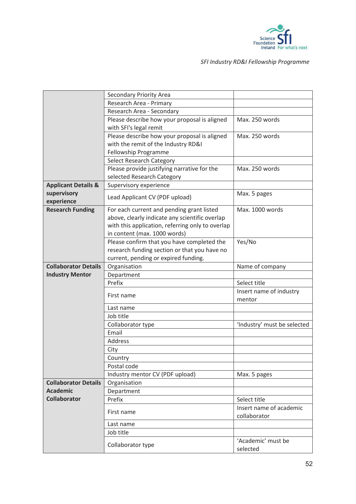

|                                | Secondary Priority Area                          |                             |
|--------------------------------|--------------------------------------------------|-----------------------------|
|                                | Research Area - Primary                          |                             |
|                                | Research Area - Secondary                        |                             |
|                                | Please describe how your proposal is aligned     | Max. 250 words              |
|                                | with SFI's legal remit                           |                             |
|                                | Please describe how your proposal is aligned     | Max. 250 words              |
|                                | with the remit of the Industry RD&I              |                             |
|                                | Fellowship Programme                             |                             |
|                                | Select Research Category                         |                             |
|                                | Please provide justifying narrative for the      | Max. 250 words              |
|                                | selected Research Category                       |                             |
| <b>Applicant Details &amp;</b> | Supervisory experience                           |                             |
| supervisory<br>experience      | Lead Applicant CV (PDF upload)                   | Max. 5 pages                |
| <b>Research Funding</b>        | For each current and pending grant listed        | Max. 1000 words             |
|                                | above, clearly indicate any scientific overlap   |                             |
|                                | with this application, referring only to overlap |                             |
|                                | in content (max. 1000 words)                     |                             |
|                                | Please confirm that you have completed the       | Yes/No                      |
|                                | research funding section or that you have no     |                             |
|                                | current, pending or expired funding.             |                             |
| <b>Collaborator Details</b>    | Organisation                                     | Name of company             |
| <b>Industry Mentor</b>         | Department                                       |                             |
|                                | Prefix                                           | Select title                |
|                                | First name                                       | Insert name of industry     |
|                                |                                                  | mentor                      |
|                                | Last name                                        |                             |
|                                | Job title                                        |                             |
|                                | Collaborator type                                | 'Industry' must be selected |
|                                | Email                                            |                             |
|                                | Address                                          |                             |
|                                | City                                             |                             |
|                                | Country                                          |                             |
|                                | Postal code                                      |                             |
|                                | Industry mentor CV (PDF upload)                  | Max. 5 pages                |
| <b>Collaborator Details</b>    | Organisation                                     |                             |
| <b>Academic</b>                | Department                                       |                             |
| <b>Collaborator</b>            | Prefix                                           | Select title                |
|                                |                                                  | Insert name of academic     |
|                                | First name                                       | collaborator                |
|                                |                                                  |                             |
|                                | Last name                                        |                             |
|                                | Job title                                        |                             |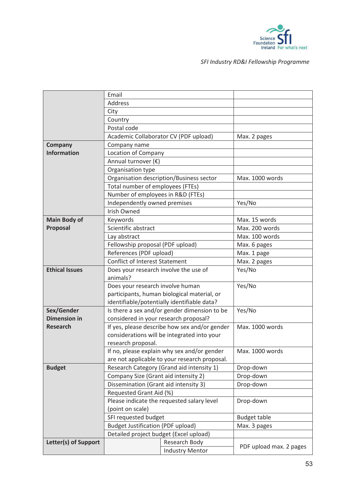

|                                   | Email                                    |                                               |                         |
|-----------------------------------|------------------------------------------|-----------------------------------------------|-------------------------|
|                                   | Address                                  |                                               |                         |
|                                   | City                                     |                                               |                         |
|                                   | Country                                  |                                               |                         |
|                                   | Postal code                              |                                               |                         |
|                                   |                                          | Academic Collaborator CV (PDF upload)         | Max. 2 pages            |
| Company                           | Company name                             |                                               |                         |
| <b>Information</b>                | Location of Company                      |                                               |                         |
|                                   | Annual turnover (€)                      |                                               |                         |
|                                   | Organisation type                        |                                               |                         |
|                                   |                                          | Organisation description/Business sector      | Max. 1000 words         |
|                                   | Total number of employees (FTEs)         |                                               |                         |
|                                   | Number of employees in R&D (FTEs)        |                                               |                         |
|                                   | Independently owned premises             |                                               | Yes/No                  |
|                                   | <b>Irish Owned</b>                       |                                               |                         |
| <b>Main Body of</b>               | Keywords                                 |                                               | Max. 15 words           |
| Proposal                          | Scientific abstract                      |                                               | Max. 200 words          |
|                                   | Lay abstract                             |                                               | Max. 100 words          |
|                                   | Fellowship proposal (PDF upload)         |                                               | Max. 6 pages            |
|                                   | References (PDF upload)                  |                                               | Max. 1 page             |
|                                   | <b>Conflict of Interest Statement</b>    |                                               | Max. 2 pages            |
| <b>Ethical Issues</b>             | Does your research involve the use of    |                                               | Yes/No                  |
|                                   | animals?                                 |                                               |                         |
|                                   | Does your research involve human         |                                               | Yes/No                  |
|                                   |                                          | participants, human biological material, or   |                         |
|                                   |                                          | identifiable/potentially identifiable data?   |                         |
| Sex/Gender<br><b>Dimension in</b> |                                          | Is there a sex and/or gender dimension to be  | Yes/No                  |
| <b>Research</b>                   | considered in your research proposal?    | If yes, please describe how sex and/or gender | Max. 1000 words         |
|                                   |                                          | considerations will be integrated into your   |                         |
|                                   | research proposal.                       |                                               |                         |
|                                   |                                          | If no, please explain why sex and/or gender   | Max. 1000 words         |
|                                   |                                          | are not applicable to your research proposal. |                         |
| <b>Budget</b>                     |                                          | Research Category (Grand aid intensity 1)     | Drop-down               |
|                                   | Company Size (Grant aid intensity 2)     |                                               | Drop-down               |
|                                   | Dissemination (Grant aid intensity 3)    |                                               | Drop-down               |
|                                   | Requested Grant Aid (%)                  |                                               |                         |
|                                   |                                          | Please indicate the requested salary level    | Drop-down               |
|                                   | (point on scale)                         |                                               |                         |
|                                   | SFI requested budget                     |                                               | <b>Budget table</b>     |
|                                   | <b>Budget Justification (PDF upload)</b> |                                               | Max. 3 pages            |
|                                   | Detailed project budget (Excel upload)   |                                               |                         |
| Letter(s) of Support              |                                          |                                               |                         |
|                                   |                                          | Research Body<br><b>Industry Mentor</b>       | PDF upload max. 2 pages |